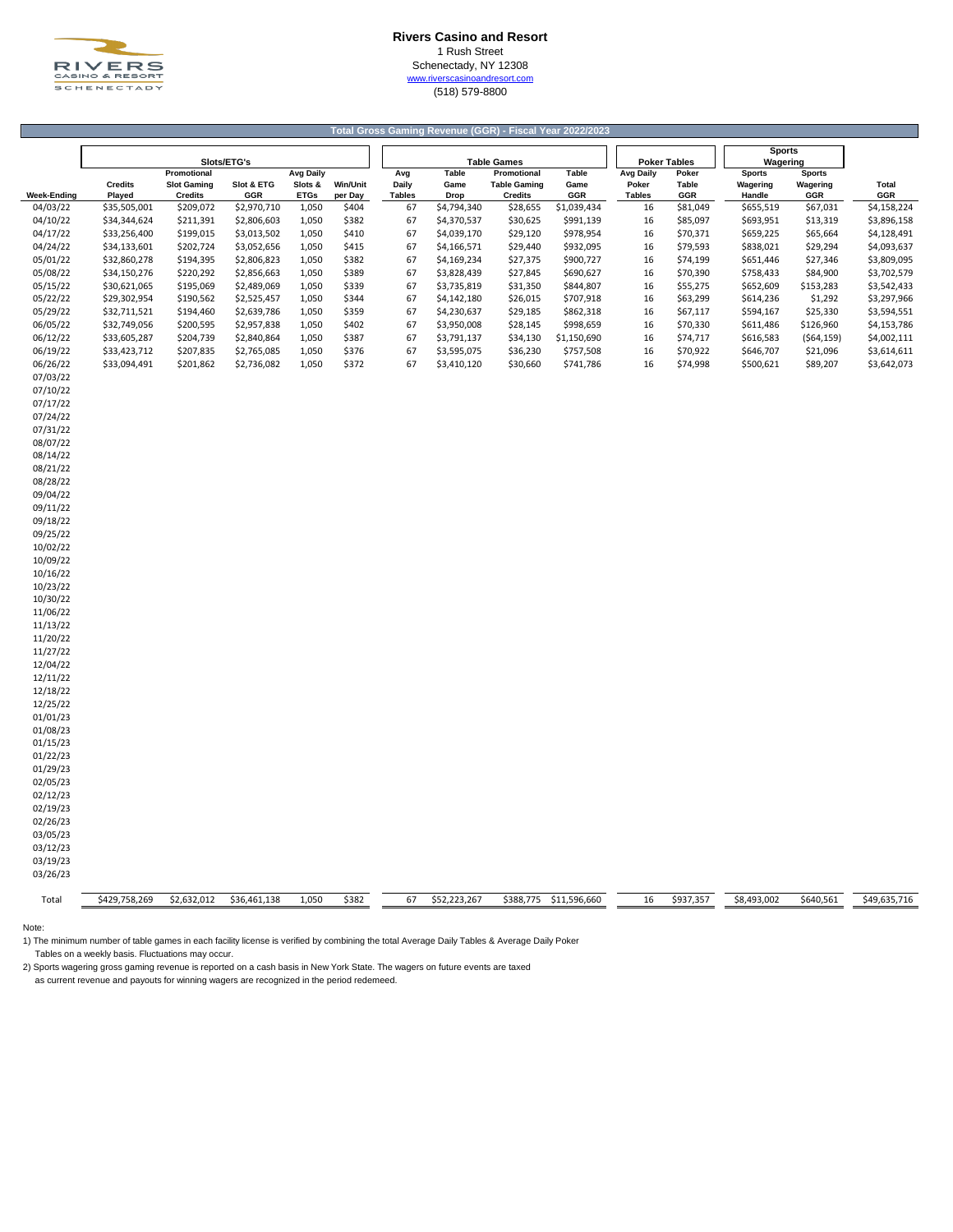

### **Rivers Casino and Resort** 1 Rush Street Schenectady, NY 12308

[w](http://www.riverscasinoandresort.com/)ww.riverscasinoandresort.com (518) 579-8800

|                      |                          |                                                     |                   |                                            |                            |               | Total Gross Gaming Revenue (GGR) - Fiscal Year 2022/2023 |                                                      |                             |                                            |                       |                                     |                                  |              |
|----------------------|--------------------------|-----------------------------------------------------|-------------------|--------------------------------------------|----------------------------|---------------|----------------------------------------------------------|------------------------------------------------------|-----------------------------|--------------------------------------------|-----------------------|-------------------------------------|----------------------------------|--------------|
|                      |                          |                                                     |                   |                                            |                            |               |                                                          |                                                      |                             |                                            |                       |                                     |                                  |              |
|                      | Slots/ETG's              |                                                     |                   |                                            |                            |               |                                                          | <b>Table Games</b>                                   |                             |                                            | <b>Poker Tables</b>   | Wagering                            |                                  |              |
| <b>Week-Ending</b>   | <b>Credits</b><br>Played | Promotional<br><b>Slot Gaming</b><br><b>Credits</b> | Slot & ETG<br>GGR | <b>Avg Daily</b><br>Slots &<br><b>ETGs</b> | <b>Win/Unit</b><br>per Day | Avg<br>Daily  | <b>Table</b><br>Game<br><b>Drop</b>                      | Promotional<br><b>Table Gaming</b><br><b>Credits</b> | <b>Table</b><br>Game<br>GGR | <b>Avg Daily</b><br>Poker<br><b>Tables</b> | Poker<br>Table<br>GGR | <b>Sports</b><br>Wagering<br>Handle | <b>Sports</b><br>Wagering<br>GGR | Total<br>GGR |
| 04/03/22             | \$35,505,001             | \$209,072                                           | \$2,970,710       | 1,050                                      | \$404                      | <b>Tables</b> | 67<br>\$4,794,340                                        | \$28,655                                             | \$1,039,434                 | 16                                         | \$81,049              | \$655,519                           | \$67,031                         | \$4,158,224  |
| 04/10/22             | \$34,344,624             | \$211,391                                           | \$2,806,603       | 1,050                                      | \$382                      |               | 67<br>\$4,370,537                                        | \$30,625                                             | \$991,139                   | 16                                         | \$85,097              | \$693,951                           | \$13,319                         | \$3,896,158  |
| 04/17/22             | \$33,256,400             | \$199,015                                           | \$3,013,502       | 1,050                                      | \$410                      |               | 67<br>\$4,039,170                                        | \$29,120                                             | \$978,954                   | 16                                         | \$70,371              | \$659,225                           | \$65,664                         | \$4,128,491  |
| 04/24/22             | \$34,133,601             | \$202,724                                           | \$3,052,656       | 1,050                                      | \$415                      |               | 67<br>\$4,166,571                                        | \$29,440                                             | \$932,095                   | 16                                         | \$79,593              | \$838,021                           | \$29,294                         | \$4,093,637  |
| 05/01/22             | \$32,860,278             | \$194,395                                           | \$2,806,823       | 1,050                                      | \$382                      |               | 67<br>\$4,169,234                                        | \$27,375                                             | \$900,727                   | 16                                         | \$74,199              | \$651,446                           | \$27,346                         | \$3,809,095  |
| 05/08/22             | \$34,150,276             | \$220,292                                           | \$2,856,663       | 1,050                                      | \$389                      |               | 67<br>\$3,828,439                                        | \$27,845                                             | \$690,627                   | 16                                         | \$70,390              | \$758,433                           | \$84,900                         | \$3,702,579  |
| 05/15/22             | \$30,621,065             | \$195,069                                           | \$2,489,069       | 1,050                                      | \$339                      |               | 67<br>\$3,735,819                                        | \$31,350                                             | \$844,807                   | 16                                         | \$55,275              | \$652,609                           | \$153,283                        | \$3,542,433  |
| 05/22/22             | \$29,302,954             | \$190,562                                           | \$2,525,457       | 1,050                                      | \$344                      |               | 67<br>\$4,142,180                                        | \$26,015                                             | \$707,918                   | 16                                         | \$63,299              | \$614,236                           | \$1,292                          | \$3,297,966  |
| 05/29/22             | \$32,711,521             | \$194,460                                           | \$2,639,786       | 1,050                                      | \$359                      |               | 67<br>\$4,230,637                                        | \$29,185                                             | \$862,318                   | 16                                         | \$67,117              | \$594,167                           | \$25,330                         | \$3,594,551  |
| 06/05/22             | \$32,749,056             | \$200,595                                           | \$2,957,838       | 1,050                                      | \$402                      |               | 67<br>\$3,950,008                                        | \$28,145                                             | \$998,659                   | 16                                         | \$70,330              | \$611,486                           | \$126,960                        | \$4,153,786  |
| 06/12/22             | \$33,605,287             | \$204,739                                           | \$2,840,864       | 1,050                                      | \$387                      |               | 67<br>\$3,791,137                                        | \$34,130                                             | \$1,150,690                 | 16                                         | \$74,717              | \$616,583                           | ( \$64, 159)                     | \$4,002,111  |
| 06/19/22             | \$33,423,712             | \$207,835                                           | \$2,765,085       | 1,050                                      | \$376                      |               | 67<br>\$3,595,075                                        | \$36,230                                             | \$757,508                   | 16                                         | \$70,922              | \$646,707                           | \$21,096                         | \$3,614,611  |
| 06/26/22             | \$33,094,491             | \$201,862                                           | \$2,736,082       | 1,050                                      | \$372                      |               | 67<br>\$3,410,120                                        | \$30,660                                             | \$741,786                   | 16                                         | \$74,998              | \$500,621                           | \$89,207                         | \$3,642,073  |
| 07/03/22<br>07/10/22 |                          |                                                     |                   |                                            |                            |               |                                                          |                                                      |                             |                                            |                       |                                     |                                  |              |
| 07/17/22             |                          |                                                     |                   |                                            |                            |               |                                                          |                                                      |                             |                                            |                       |                                     |                                  |              |
| 07/24/22             |                          |                                                     |                   |                                            |                            |               |                                                          |                                                      |                             |                                            |                       |                                     |                                  |              |
| 07/31/22             |                          |                                                     |                   |                                            |                            |               |                                                          |                                                      |                             |                                            |                       |                                     |                                  |              |
| 08/07/22             |                          |                                                     |                   |                                            |                            |               |                                                          |                                                      |                             |                                            |                       |                                     |                                  |              |
| 08/14/22             |                          |                                                     |                   |                                            |                            |               |                                                          |                                                      |                             |                                            |                       |                                     |                                  |              |
| 08/21/22             |                          |                                                     |                   |                                            |                            |               |                                                          |                                                      |                             |                                            |                       |                                     |                                  |              |
| 08/28/22             |                          |                                                     |                   |                                            |                            |               |                                                          |                                                      |                             |                                            |                       |                                     |                                  |              |
| 09/04/22             |                          |                                                     |                   |                                            |                            |               |                                                          |                                                      |                             |                                            |                       |                                     |                                  |              |
| 09/11/22             |                          |                                                     |                   |                                            |                            |               |                                                          |                                                      |                             |                                            |                       |                                     |                                  |              |
| 09/18/22             |                          |                                                     |                   |                                            |                            |               |                                                          |                                                      |                             |                                            |                       |                                     |                                  |              |
| 09/25/22             |                          |                                                     |                   |                                            |                            |               |                                                          |                                                      |                             |                                            |                       |                                     |                                  |              |
| 10/02/22             |                          |                                                     |                   |                                            |                            |               |                                                          |                                                      |                             |                                            |                       |                                     |                                  |              |
| 10/09/22<br>10/16/22 |                          |                                                     |                   |                                            |                            |               |                                                          |                                                      |                             |                                            |                       |                                     |                                  |              |
| 10/23/22             |                          |                                                     |                   |                                            |                            |               |                                                          |                                                      |                             |                                            |                       |                                     |                                  |              |
| 10/30/22             |                          |                                                     |                   |                                            |                            |               |                                                          |                                                      |                             |                                            |                       |                                     |                                  |              |
| 11/06/22             |                          |                                                     |                   |                                            |                            |               |                                                          |                                                      |                             |                                            |                       |                                     |                                  |              |
| 11/13/22             |                          |                                                     |                   |                                            |                            |               |                                                          |                                                      |                             |                                            |                       |                                     |                                  |              |
| 11/20/22             |                          |                                                     |                   |                                            |                            |               |                                                          |                                                      |                             |                                            |                       |                                     |                                  |              |
| 11/27/22             |                          |                                                     |                   |                                            |                            |               |                                                          |                                                      |                             |                                            |                       |                                     |                                  |              |
| 12/04/22             |                          |                                                     |                   |                                            |                            |               |                                                          |                                                      |                             |                                            |                       |                                     |                                  |              |
| 12/11/22             |                          |                                                     |                   |                                            |                            |               |                                                          |                                                      |                             |                                            |                       |                                     |                                  |              |
| 12/18/22             |                          |                                                     |                   |                                            |                            |               |                                                          |                                                      |                             |                                            |                       |                                     |                                  |              |
| 12/25/22             |                          |                                                     |                   |                                            |                            |               |                                                          |                                                      |                             |                                            |                       |                                     |                                  |              |
| 01/01/23             |                          |                                                     |                   |                                            |                            |               |                                                          |                                                      |                             |                                            |                       |                                     |                                  |              |
| 01/08/23             |                          |                                                     |                   |                                            |                            |               |                                                          |                                                      |                             |                                            |                       |                                     |                                  |              |
| 01/15/23             |                          |                                                     |                   |                                            |                            |               |                                                          |                                                      |                             |                                            |                       |                                     |                                  |              |
| 01/22/23<br>01/29/23 |                          |                                                     |                   |                                            |                            |               |                                                          |                                                      |                             |                                            |                       |                                     |                                  |              |
| 02/05/23             |                          |                                                     |                   |                                            |                            |               |                                                          |                                                      |                             |                                            |                       |                                     |                                  |              |
| 02/12/23             |                          |                                                     |                   |                                            |                            |               |                                                          |                                                      |                             |                                            |                       |                                     |                                  |              |
| 02/19/23             |                          |                                                     |                   |                                            |                            |               |                                                          |                                                      |                             |                                            |                       |                                     |                                  |              |
| 02/26/23             |                          |                                                     |                   |                                            |                            |               |                                                          |                                                      |                             |                                            |                       |                                     |                                  |              |
| 03/05/23             |                          |                                                     |                   |                                            |                            |               |                                                          |                                                      |                             |                                            |                       |                                     |                                  |              |
| 03/12/23             |                          |                                                     |                   |                                            |                            |               |                                                          |                                                      |                             |                                            |                       |                                     |                                  |              |
| 03/19/23             |                          |                                                     |                   |                                            |                            |               |                                                          |                                                      |                             |                                            |                       |                                     |                                  |              |
| 03/26/23             |                          |                                                     |                   |                                            |                            |               |                                                          |                                                      |                             |                                            |                       |                                     |                                  |              |
| Total                | \$429,758,269            | \$2,632,012                                         | \$36,461,138      | 1,050                                      | \$382                      |               | 67<br>\$52,223,267                                       | \$388,775                                            | \$11,596,660                | 16                                         | \$937,357             | \$8,493,002                         | \$640,561                        | \$49,635,716 |

Note:

1) The minimum number of table games in each facility license is verified by combining the total Average Daily Tables & Average Daily Poker Tables on a weekly basis. Fluctuations may occur.

2) Sports wagering gross gaming revenue is reported on a cash basis in New York State. The wagers on future events are taxed as current revenue and payouts for winning wagers are recognized in the period redemeed.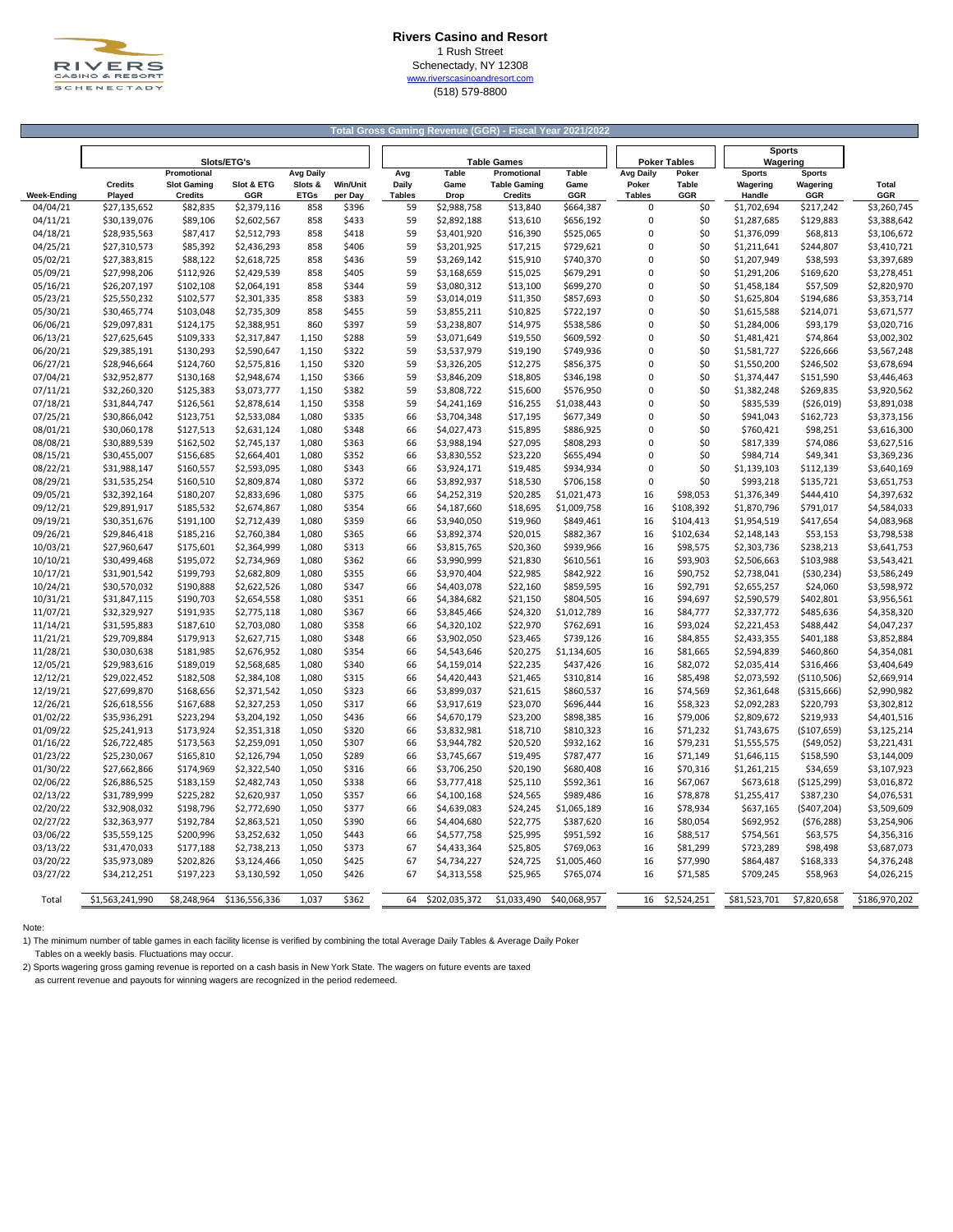

### **Rivers Casino and Resort** 1 Rush Street Schenectady, NY 12308

[w](http://www.riverscasinoandresort.com/)ww.riverscasinoandresort.com (518) 579-8800

| Total Gross Gaming Revenue (GGR) - Fiscal Year 2021/2022 |                              |                                   |                            |                             |                |               |                            |                                    |                          |                           |                       |                            |                           |                            |
|----------------------------------------------------------|------------------------------|-----------------------------------|----------------------------|-----------------------------|----------------|---------------|----------------------------|------------------------------------|--------------------------|---------------------------|-----------------------|----------------------------|---------------------------|----------------------------|
|                                                          |                              |                                   |                            |                             |                |               |                            |                                    |                          |                           |                       | <b>Sports</b>              |                           |                            |
|                                                          |                              |                                   | Slots/ETG's                |                             |                |               |                            | <b>Table Games</b>                 |                          |                           | <b>Poker Tables</b>   | Wagering                   |                           |                            |
|                                                          | <b>Credits</b>               | Promotional<br><b>Slot Gaming</b> | Slot & ETG                 | <b>Avg Daily</b><br>Slots & | Win/Unit       | Avg<br>Daily  | Table<br>Game              | Promotional<br><b>Table Gaming</b> | <b>Table</b><br>Game     | <b>Avg Daily</b><br>Poker | Poker<br><b>Table</b> | <b>Sports</b><br>Wagering  | <b>Sports</b><br>Wagering | Total                      |
| <b>Week-Ending</b>                                       | Played                       | <b>Credits</b>                    | GGR                        | <b>ETGs</b>                 | per Day        | <b>Tables</b> | Drop                       | <b>Credits</b>                     | GGR                      | <b>Tables</b>             | GGR                   | Handle                     | GGR                       | GGR                        |
| 04/04/21                                                 | \$27,135,652                 | \$82,835                          | \$2,379,116                | 858                         | \$396          | 59            | \$2,988,758                | \$13,840                           | \$664,387                | 0                         | \$0                   | \$1,702,694                | \$217,242                 | \$3,260,745                |
| 04/11/21                                                 | \$30,139,076                 | \$89,106                          | \$2,602,567                | 858                         | \$433          | 59            | \$2,892,188                | \$13,610                           | \$656,192                | 0                         | \$0                   | \$1,287,685                | \$129,883                 | \$3,388,642                |
| 04/18/21                                                 | \$28,935,563                 | \$87,417                          | \$2,512,793                | 858                         | \$418          | 59            | \$3,401,920                | \$16,390                           | \$525,065                | $\pmb{0}$                 | \$0                   | \$1,376,099                | \$68,813                  | \$3,106,672                |
| 04/25/21                                                 | \$27,310,573                 | \$85,392                          | \$2,436,293                | 858                         | \$406          | 59            | \$3,201,925                | \$17,215                           | \$729,621                | 0                         | \$0                   | \$1,211,641                | \$244,807                 | \$3,410,721                |
| 05/02/21                                                 | \$27,383,815                 | \$88,122                          | \$2,618,725                | 858                         | \$436          | 59            | \$3,269,142                | \$15,910                           | \$740,370                | $\mathbf 0$               | \$0                   | \$1,207,949                | \$38,593                  | \$3,397,689                |
| 05/09/21                                                 | \$27,998,206                 | \$112,926                         | \$2,429,539                | 858                         | \$405          | 59            | \$3,168,659                | \$15,025                           | \$679,291                | 0                         | \$0                   | \$1,291,206                | \$169,620                 | \$3,278,451                |
| 05/16/21                                                 | \$26,207,197                 | \$102,108                         | \$2,064,191                | 858                         | \$344          | 59            | \$3,080,312                | \$13,100                           | \$699,270                | $\mathbf 0$               | \$0                   | \$1,458,184                | \$57,509                  | \$2,820,970                |
| 05/23/21                                                 | \$25,550,232                 | \$102,577                         | \$2,301,335                | 858                         | \$383          | 59            | \$3,014,019                | \$11,350                           | \$857,693                | 0                         | \$0                   | \$1,625,804                | \$194,686                 | \$3,353,714                |
| 05/30/21                                                 | \$30,465,774                 | \$103,048                         | \$2,735,309                | 858                         | \$455          | 59            | \$3,855,211                | \$10,825                           | \$722,197                | $\mathbf 0$               | \$0                   | \$1,615,588                | \$214,071                 | \$3,671,577                |
| 06/06/21                                                 | \$29,097,831                 | \$124,175                         | \$2,388,951                | 860                         | \$397          | 59            | \$3,238,807                | \$14,975                           | \$538,586                | 0                         | \$0                   | \$1,284,006                | \$93,179                  | \$3,020,716                |
| 06/13/21                                                 | \$27,625,645                 | \$109,333                         | \$2,317,847                | 1,150                       | \$288          | 59            | \$3,071,649                | \$19,550                           | \$609,592                | $\mathbf 0$               | \$0                   | \$1,481,421                | \$74,864                  | \$3,002,302                |
| 06/20/21                                                 | \$29,385,191                 | \$130,293                         | \$2,590,647                | 1,150                       | \$322          | 59            | \$3,537,979                | \$19,190                           | \$749,936                | $\mathbf 0$               | \$0                   | \$1,581,727                | \$226,666                 | \$3,567,248                |
| 06/27/21                                                 | \$28,946,664                 | \$124,760                         | \$2,575,816                | 1,150                       | \$320          | 59            | \$3,326,205                | \$12,275                           | \$856,375                | $\mathbf 0$               | \$0                   | \$1,550,200                | \$246,502                 | \$3,678,694                |
| 07/04/21                                                 | \$32,952,877                 | \$130,168                         | \$2,948,674                | 1,150                       | \$366          | 59            | \$3,846,209                | \$18,805                           | \$346,198                | 0                         | \$0                   | \$1,374,447                | \$151,590                 | \$3,446,463                |
| 07/11/21                                                 | \$32,260,320                 | \$125,383                         | \$3,073,777                | 1,150                       | \$382          | 59            | \$3,808,722                | \$15,600                           | \$576,950                | $\mathbf 0$               | \$0                   | \$1,382,248                | \$269,835                 | \$3,920,562                |
| 07/18/21                                                 | \$31,844,747                 | \$126,561                         | \$2,878,614                | 1,150                       | \$358          | 59            | \$4,241,169                | \$16,255                           | \$1,038,443              | 0                         | \$0                   | \$835,539                  | ( \$26,019)               | \$3,891,038                |
| 07/25/21                                                 | \$30,866,042                 | \$123,751                         | \$2,533,084                | 1,080                       | \$335          | 66            | \$3,704,348                | \$17,195                           | \$677,349                | $\mathbf 0$               | \$0                   | \$941,043                  | \$162,723                 | \$3,373,156                |
| 08/01/21                                                 | \$30,060,178                 | \$127,513                         | \$2,631,124                | 1,080                       | \$348          | 66            | \$4,027,473                | \$15,895                           | \$886,925                | 0                         | \$0                   | \$760,421                  | \$98,251                  | \$3,616,300                |
| 08/08/21                                                 | \$30,889,539                 | \$162,502                         | \$2,745,137                | 1,080                       | \$363          | 66            | \$3,988,194                | \$27,095                           | \$808,293                | $\mathbf 0$               | \$0                   | \$817,339                  | \$74,086                  | \$3,627,516                |
| 08/15/21                                                 | \$30,455,007                 | \$156,685                         | \$2,664,401                | 1,080                       | \$352          | 66            | \$3,830,552                | \$23,220                           | \$655,494                | 0                         | \$0                   | \$984,714                  | \$49,341                  | \$3,369,236                |
| 08/22/21                                                 | \$31,988,147                 | \$160,557                         | \$2,593,095                | 1,080                       | \$343          | 66            | \$3,924,171                | \$19,485                           | \$934,934                | $\mathbf 0$               | \$0                   | \$1,139,103                | \$112,139                 | \$3,640,169                |
| 08/29/21                                                 | \$31,535,254                 | \$160,510                         | \$2,809,874                | 1,080                       | \$372          | 66            | \$3,892,937                | \$18,530                           | \$706,158                | $\mathbf 0$               | \$0                   | \$993,218                  | \$135,721                 | \$3,651,753                |
| 09/05/21                                                 | \$32,392,164                 | \$180,207                         | \$2,833,696                | 1,080                       | \$375          | 66            | \$4,252,319                | \$20,285                           | \$1,021,473              | 16                        | \$98,053              | \$1,376,349                | \$444,410                 | \$4,397,632                |
| 09/12/21                                                 | \$29,891,917                 | \$185,532                         | \$2,674,867                | 1,080                       | \$354          | 66            | \$4,187,660                | \$18,695                           | \$1,009,758              | 16                        | \$108,392             | \$1,870,796                | \$791,017                 | \$4,584,033                |
| 09/19/21                                                 | \$30,351,676                 | \$191,100                         | \$2,712,439                | 1,080                       | \$359          | 66            | \$3,940,050                | \$19,960                           | \$849,461                | 16                        | \$104,413             | \$1,954,519                | \$417,654                 | \$4,083,968                |
| 09/26/21                                                 | \$29,846,418                 | \$185,216                         | \$2,760,384                | 1,080                       | \$365          | 66            | \$3,892,374                | \$20,015                           | \$882,367                | 16                        | \$102,634             | \$2,148,143                | \$53,153                  | \$3,798,538                |
| 10/03/21                                                 | \$27,960,647                 | \$175,601                         | \$2,364,999                | 1,080                       | \$313          | 66            | \$3,815,765                | \$20,360                           | \$939,966                | 16                        | \$98,575              | \$2,303,736                | \$238,213                 | \$3,641,753                |
| 10/10/21                                                 | \$30,499,468                 | \$195,072                         | \$2,734,969                | 1,080                       | \$362          | 66            | \$3,990,999                | \$21,830                           | \$610,561                | 16                        | \$93,903              | \$2,506,663                | \$103,988                 | \$3,543,421                |
| 10/17/21                                                 | \$31,901,542                 | \$199,793                         | \$2,682,809                | 1,080                       | \$355          | 66            | \$3,970,404                | \$22,985                           | \$842,922                | 16                        | \$90,752              | \$2,738,041                | ( \$30, 234)              | \$3,586,249                |
| 10/24/21                                                 | \$30,570,032                 | \$190,888                         | \$2,622,526                | 1,080                       | \$347          | 66<br>66      | \$4,403,078                | \$22,160                           | \$859,595                | 16<br>16                  | \$92,791              | \$2,655,257<br>\$2,590,579 | \$24,060                  | \$3,598,972                |
| 10/31/21                                                 | \$31,847,115<br>\$32,329,927 | \$190,703<br>\$191,935            | \$2,654,558                | 1,080<br>1,080              | \$351<br>\$367 | 66            | \$4,384,682<br>\$3,845,466 | \$21,150                           | \$804,505                | 16                        | \$94,697<br>\$84,777  |                            | \$402,801                 | \$3,956,561                |
| 11/07/21<br>11/14/21                                     | \$31,595,883                 | \$187,610                         | \$2,775,118<br>\$2,703,080 | 1,080                       | \$358          | 66            | \$4,320,102                | \$24,320<br>\$22,970               | \$1,012,789<br>\$762,691 | 16                        | \$93,024              | \$2,337,772<br>\$2,221,453 | \$485,636<br>\$488,442    | \$4,358,320<br>\$4,047,237 |
| 11/21/21                                                 | \$29,709,884                 | \$179,913                         | \$2,627,715                | 1,080                       | \$348          | 66            | \$3,902,050                | \$23,465                           | \$739,126                | 16                        | \$84,855              | \$2,433,355                | \$401,188                 | \$3,852,884                |
| 11/28/21                                                 | \$30,030,638                 | \$181,985                         | \$2,676,952                | 1,080                       | \$354          | 66            | \$4,543,646                | \$20,275                           | \$1,134,605              | 16                        | \$81,665              | \$2,594,839                | \$460,860                 | \$4,354,081                |
| 12/05/21                                                 | \$29,983,616                 | \$189,019                         | \$2,568,685                | 1,080                       | \$340          | 66            | \$4,159,014                | \$22,235                           | \$437,426                | 16                        | \$82,072              | \$2,035,414                | \$316,466                 | \$3,404,649                |
| 12/12/21                                                 | \$29,022,452                 | \$182,508                         | \$2,384,108                | 1,080                       | \$315          | 66            | \$4,420,443                | \$21,465                           | \$310,814                | 16                        | \$85,498              | \$2,073,592                | ( \$110, 506)             | \$2,669,914                |
| 12/19/21                                                 | \$27,699,870                 | \$168,656                         | \$2,371,542                | 1,050                       | \$323          | 66            | \$3,899,037                | \$21,615                           | \$860,537                | 16                        | \$74,569              | \$2,361,648                | ( \$315,666)              | \$2,990,982                |
| 12/26/21                                                 | \$26,618,556                 | \$167,688                         | \$2,327,253                | 1,050                       | \$317          | 66            | \$3,917,619                | \$23,070                           | \$696,444                | 16                        | \$58,323              | \$2,092,283                | \$220,793                 | \$3,302,812                |
| 01/02/22                                                 | \$35,936,291                 | \$223,294                         | \$3,204,192                | 1,050                       | \$436          | 66            | \$4,670,179                | \$23,200                           | \$898,385                | 16                        | \$79,006              | \$2,809,672                | \$219,933                 | \$4,401,516                |
| 01/09/22                                                 | \$25,241,913                 | \$173,924                         | \$2,351,318                | 1,050                       | \$320          | 66            | \$3,832,981                | \$18,710                           | \$810,323                | 16                        | \$71,232              | \$1,743,675                | (\$107,659)               | \$3,125,214                |
| 01/16/22                                                 | \$26,722,485                 | \$173,563                         | \$2,259,091                | 1,050                       | \$307          | 66            | \$3,944,782                | \$20,520                           | \$932,162                | 16                        | \$79,231              | \$1,555,575                | (549, 052)                | \$3,221,431                |
| 01/23/22                                                 | \$25,230,067                 | \$165,810                         | \$2,126,794                | 1,050                       | \$289          | 66            | \$3,745,667                | \$19,495                           | \$787,477                | 16                        | \$71,149              | \$1,646,115                | \$158,590                 | \$3,144,009                |
| 01/30/22                                                 | \$27,662,866                 | \$174,969                         | \$2,322,540                | 1,050                       | \$316          | 66            | \$3,706,250                | \$20,190                           | \$680,408                | 16                        | \$70,316              | \$1,261,215                | \$34,659                  | \$3,107,923                |
| 02/06/22                                                 | \$26,886,525                 | \$183,159                         | \$2,482,743                | 1,050                       | \$338          | 66            | \$3,777,418                | \$25,110                           | \$592,361                | 16                        | \$67,067              | \$673,618                  | (\$125,299)               | \$3,016,872                |
| 02/13/22                                                 | \$31,789,999                 | \$225,282                         | \$2,620,937                | 1,050                       | \$357          | 66            | \$4,100,168                | \$24,565                           | \$989,486                | 16                        | \$78,878              | \$1,255,417                | \$387,230                 | \$4,076,531                |
| 02/20/22                                                 | \$32,908,032                 | \$198,796                         | \$2,772,690                | 1,050                       | \$377          | 66            | \$4,639,083                | \$24,245                           | \$1,065,189              | 16                        | \$78,934              | \$637,165                  | (\$407,204)               | \$3,509,609                |
| 02/27/22                                                 | \$32,363,977                 | \$192,784                         | \$2,863,521                | 1,050                       | \$390          | 66            | \$4,404,680                | \$22,775                           | \$387,620                | 16                        | \$80,054              | \$692,952                  | (576, 288)                | \$3,254,906                |
| 03/06/22                                                 | \$35,559,125                 | \$200,996                         | \$3,252,632                | 1,050                       | \$443          | 66            | \$4,577,758                | \$25,995                           | \$951,592                | 16                        | \$88,517              | \$754,561                  | \$63,575                  | \$4,356,316                |
| 03/13/22                                                 | \$31,470,033                 | \$177,188                         | \$2,738,213                | 1,050                       | \$373          | 67            | \$4,433,364                | \$25,805                           | \$769,063                | 16                        | \$81,299              | \$723,289                  | \$98,498                  | \$3,687,073                |
| 03/20/22                                                 | \$35,973,089                 | \$202,826                         | \$3,124,466                | 1,050                       | \$425          | 67            | \$4,734,227                | \$24,725                           | \$1,005,460              | 16                        | \$77,990              | \$864,487                  | \$168,333                 | \$4,376,248                |
| 03/27/22                                                 | \$34,212,251                 | \$197,223                         | \$3,130,592                | 1,050                       | \$426          | 67            | \$4,313,558                | \$25,965                           | \$765,074                | 16                        | \$71,585              | \$709,245                  | \$58,963                  | \$4,026,215                |
|                                                          |                              |                                   |                            |                             |                |               |                            |                                    |                          |                           |                       |                            |                           |                            |
| Total                                                    | \$1,563,241,990              | \$8,248,964                       | \$136,556,336              | 1,037                       | \$362          | 64            | \$202,035,372              | \$1,033,490                        | \$40,068,957             | 16                        | \$2,524,251           | \$81,523,701               | \$7,820,658               | \$186,970,202              |

Note:

1) The minimum number of table games in each facility license is verified by combining the total Average Daily Tables & Average Daily Poker Tables on a weekly basis. Fluctuations may occur.

2) Sports wagering gross gaming revenue is reported on a cash basis in New York State. The wagers on future events are taxed

as current revenue and payouts for winning wagers are recognized in the period redemeed.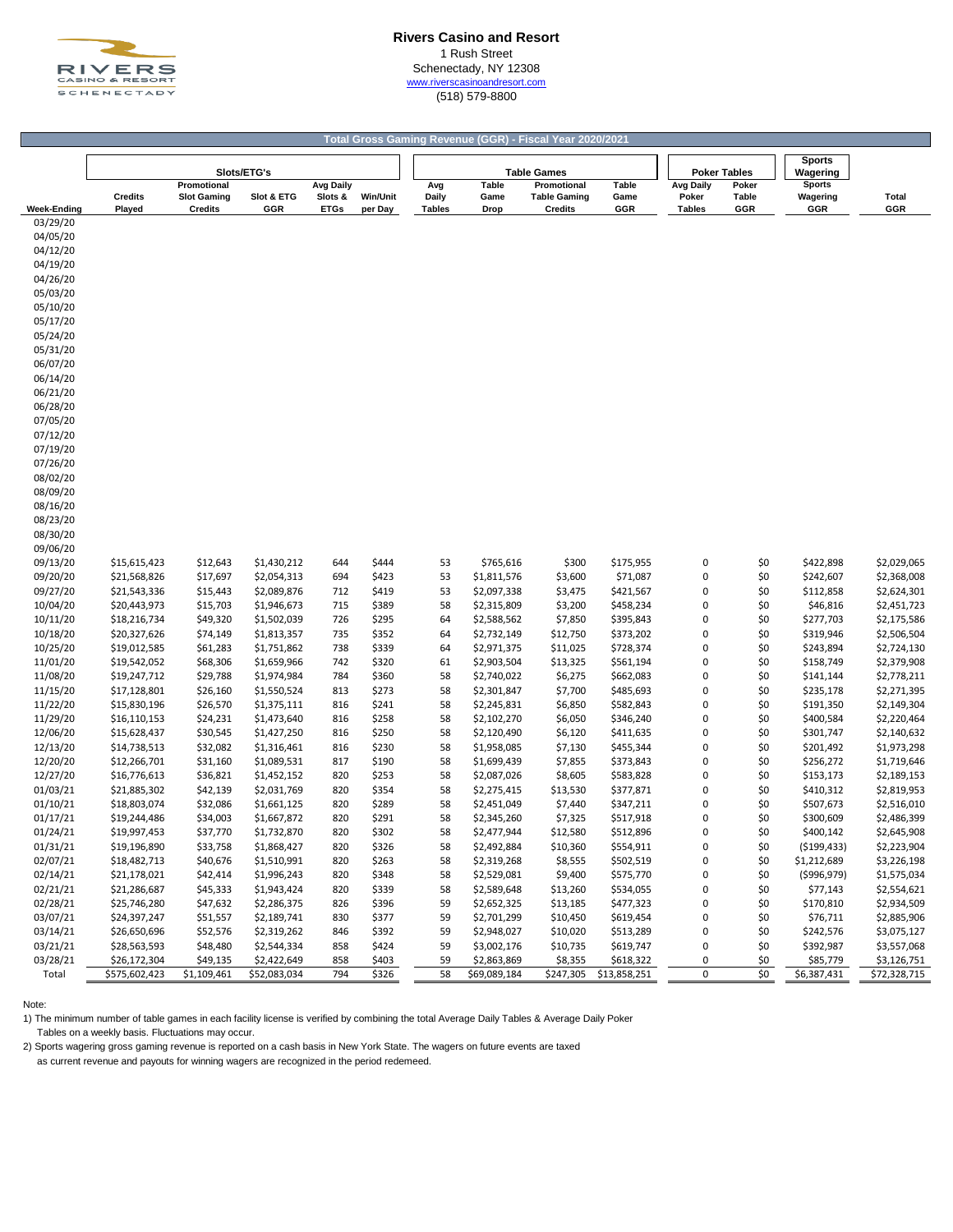

### **Rivers Casino and Resort** 1 Rush Street Schenectady, NY 12308 [w](http://www.riverscasinoandresort.com/)ww.riverscasinoandresort.com

(518) 579-8800

|                      |                              |                                      |                            |                        |                            |                        |                            | Total Gross Gaming Revenue (GGR) - Fiscal Year 2020/2021 |                        |                        |                     |                           |                            |
|----------------------|------------------------------|--------------------------------------|----------------------------|------------------------|----------------------------|------------------------|----------------------------|----------------------------------------------------------|------------------------|------------------------|---------------------|---------------------------|----------------------------|
|                      |                              |                                      | Slots/ETG's                |                        |                            |                        |                            | <b>Table Games</b>                                       |                        |                        | <b>Poker Tables</b> | <b>Sports</b><br>Wagering |                            |
|                      |                              | Promotional                          |                            | <b>Avg Daily</b>       |                            | Avg                    | <b>Table</b>               | Promotional                                              | Table                  | <b>Avg Daily</b>       | Poker               | <b>Sports</b>             |                            |
| <b>Week-Ending</b>   | <b>Credits</b><br>Played     | <b>Slot Gaming</b><br><b>Credits</b> | Slot & ETG<br>GGR          | Slots &<br><b>ETGs</b> | <b>Win/Unit</b><br>per Day | Daily<br><b>Tables</b> | Game<br>Drop               | <b>Table Gaming</b><br><b>Credits</b>                    | Game<br>GGR            | Poker<br><b>Tables</b> | Table<br>GGR        | Wagering<br>GGR           | Total<br>GGR               |
| 03/29/20             |                              |                                      |                            |                        |                            |                        |                            |                                                          |                        |                        |                     |                           |                            |
| 04/05/20             |                              |                                      |                            |                        |                            |                        |                            |                                                          |                        |                        |                     |                           |                            |
| 04/12/20             |                              |                                      |                            |                        |                            |                        |                            |                                                          |                        |                        |                     |                           |                            |
| 04/19/20             |                              |                                      |                            |                        |                            |                        |                            |                                                          |                        |                        |                     |                           |                            |
| 04/26/20             |                              |                                      |                            |                        |                            |                        |                            |                                                          |                        |                        |                     |                           |                            |
| 05/03/20             |                              |                                      |                            |                        |                            |                        |                            |                                                          |                        |                        |                     |                           |                            |
| 05/10/20             |                              |                                      |                            |                        |                            |                        |                            |                                                          |                        |                        |                     |                           |                            |
| 05/17/20             |                              |                                      |                            |                        |                            |                        |                            |                                                          |                        |                        |                     |                           |                            |
| 05/24/20             |                              |                                      |                            |                        |                            |                        |                            |                                                          |                        |                        |                     |                           |                            |
| 05/31/20             |                              |                                      |                            |                        |                            |                        |                            |                                                          |                        |                        |                     |                           |                            |
| 06/07/20             |                              |                                      |                            |                        |                            |                        |                            |                                                          |                        |                        |                     |                           |                            |
| 06/14/20             |                              |                                      |                            |                        |                            |                        |                            |                                                          |                        |                        |                     |                           |                            |
| 06/21/20<br>06/28/20 |                              |                                      |                            |                        |                            |                        |                            |                                                          |                        |                        |                     |                           |                            |
| 07/05/20             |                              |                                      |                            |                        |                            |                        |                            |                                                          |                        |                        |                     |                           |                            |
| 07/12/20             |                              |                                      |                            |                        |                            |                        |                            |                                                          |                        |                        |                     |                           |                            |
| 07/19/20             |                              |                                      |                            |                        |                            |                        |                            |                                                          |                        |                        |                     |                           |                            |
| 07/26/20             |                              |                                      |                            |                        |                            |                        |                            |                                                          |                        |                        |                     |                           |                            |
| 08/02/20             |                              |                                      |                            |                        |                            |                        |                            |                                                          |                        |                        |                     |                           |                            |
| 08/09/20             |                              |                                      |                            |                        |                            |                        |                            |                                                          |                        |                        |                     |                           |                            |
| 08/16/20             |                              |                                      |                            |                        |                            |                        |                            |                                                          |                        |                        |                     |                           |                            |
| 08/23/20             |                              |                                      |                            |                        |                            |                        |                            |                                                          |                        |                        |                     |                           |                            |
| 08/30/20             |                              |                                      |                            |                        |                            |                        |                            |                                                          |                        |                        |                     |                           |                            |
| 09/06/20             |                              |                                      |                            |                        |                            |                        |                            |                                                          |                        |                        |                     |                           |                            |
| 09/13/20             | \$15,615,423                 | \$12,643                             | \$1,430,212                | 644                    | \$444                      | 53                     | \$765,616                  | \$300                                                    | \$175,955              | 0                      | \$0                 | \$422,898                 | \$2,029,065                |
| 09/20/20             | \$21,568,826                 | \$17,697                             | \$2,054,313                | 694                    | \$423                      | 53                     | \$1,811,576                | \$3,600                                                  | \$71,087               | 0                      | \$0                 | \$242,607                 | \$2,368,008                |
| 09/27/20             | \$21,543,336                 | \$15,443                             | \$2,089,876                | 712                    | \$419                      | 53                     | \$2,097,338                | \$3,475                                                  | \$421,567              | 0                      | \$0                 | \$112,858                 | \$2,624,301                |
| 10/04/20             | \$20,443,973                 | \$15,703                             | \$1,946,673                | 715                    | \$389                      | 58                     | \$2,315,809                | \$3,200                                                  | \$458,234              | 0                      | \$0                 | \$46,816                  | \$2,451,723                |
| 10/11/20             | \$18,216,734                 | \$49,320                             | \$1,502,039                | 726                    | \$295                      | 64                     | \$2,588,562                | \$7,850                                                  | \$395,843              | 0                      | \$0                 | \$277,703                 | \$2,175,586                |
| 10/18/20             | \$20,327,626                 | \$74,149                             | \$1,813,357                | 735                    | \$352                      | 64                     | \$2,732,149                | \$12,750                                                 | \$373,202              | 0                      | \$0                 | \$319,946                 | \$2,506,504                |
| 10/25/20             | \$19,012,585                 | \$61,283                             | \$1,751,862                | 738                    | \$339                      | 64                     | \$2,971,375                | \$11,025                                                 | \$728,374              | 0                      | \$0                 | \$243,894                 | \$2,724,130                |
| 11/01/20             | \$19,542,052                 | \$68,306                             | \$1,659,966                | 742                    | \$320                      | 61                     | \$2,903,504                | \$13,325                                                 | \$561,194              | 0                      | \$0                 | \$158,749                 | \$2,379,908                |
| 11/08/20             | \$19,247,712                 | \$29,788                             | \$1,974,984                | 784                    | \$360                      | 58                     | \$2,740,022                | \$6,275                                                  | \$662,083              | 0                      | \$0                 | \$141,144                 | \$2,778,211                |
| 11/15/20<br>11/22/20 | \$17,128,801<br>\$15,830,196 | \$26,160<br>\$26,570                 | \$1,550,524<br>\$1,375,111 | 813<br>816             | \$273<br>\$241             | 58<br>58               | \$2,301,847<br>\$2,245,831 | \$7,700<br>\$6,850                                       | \$485,693<br>\$582,843 | 0<br>0                 | \$0<br>\$0          | \$235,178<br>\$191,350    | \$2,271,395<br>\$2,149,304 |
| 11/29/20             | \$16,110,153                 | \$24,231                             | \$1,473,640                | 816                    | \$258                      | 58                     | \$2,102,270                | \$6,050                                                  | \$346,240              | 0                      | \$0                 | \$400,584                 | \$2,220,464                |
| 12/06/20             | \$15,628,437                 | \$30,545                             | \$1,427,250                | 816                    | \$250                      | 58                     | \$2,120,490                | \$6,120                                                  | \$411,635              | 0                      | \$0                 | \$301,747                 | \$2,140,632                |
| 12/13/20             | \$14,738,513                 | \$32,082                             | \$1,316,461                | 816                    | \$230                      | 58                     | \$1,958,085                | \$7,130                                                  | \$455,344              | 0                      | \$0                 | \$201,492                 | \$1,973,298                |
| 12/20/20             | \$12,266,701                 | \$31,160                             | \$1,089,531                | 817                    | \$190                      | 58                     | \$1,699,439                | \$7,855                                                  | \$373,843              | 0                      | \$0                 | \$256,272                 | \$1,719,646                |
| 12/27/20             | \$16,776,613                 | \$36,821                             | \$1,452,152                | 820                    | \$253                      | 58                     | \$2,087,026                | \$8,605                                                  | \$583,828              | 0                      | \$0                 | \$153,173                 | \$2,189,153                |
| 01/03/21             | \$21,885,302                 | \$42,139                             | \$2,031,769                | 820                    | \$354                      | 58                     | \$2,275,415                | \$13,530                                                 | \$377,871              | 0                      | \$0                 | \$410,312                 | \$2,819,953                |
| 01/10/21             | \$18,803,074                 | \$32,086                             | \$1,661,125                | 820                    | \$289                      | 58                     | \$2,451,049                | \$7,440                                                  | \$347,211              | 0                      | \$0                 | \$507,673                 | \$2,516,010                |
| 01/17/21             | \$19,244,486                 | \$34,003                             | \$1,667,872                | 820                    | \$291                      | 58                     | \$2,345,260                | \$7,325                                                  | \$517,918              | 0                      | \$0                 | \$300,609                 | \$2,486,399                |
| 01/24/21             | \$19,997,453                 | \$37,770                             | \$1,732,870                | 820                    | \$302                      | 58                     | \$2,477,944                | \$12,580                                                 | \$512,896              | $\Omega$               | \$0                 | \$400,142                 | \$2,645,908                |
| 01/31/21             | \$19,196,890                 | \$33,758                             | \$1,868,427                | 820                    | \$326                      | 58                     | \$2,492,884                | \$10,360                                                 | \$554,911              | 0                      | \$0                 | ( \$199, 433)             | \$2,223,904                |
| 02/07/21             | \$18,482,713                 | \$40,676                             | \$1,510,991                | 820                    | \$263                      | 58                     | \$2,319,268                | \$8,555                                                  | \$502,519              | 0                      | \$0                 | \$1,212,689               | \$3,226,198                |
| 02/14/21             | \$21,178,021                 | \$42,414                             | \$1,996,243                | 820                    | \$348                      | 58                     | \$2,529,081                | \$9,400                                                  | \$575,770              | 0                      | \$0                 | ( \$996, 979)             | \$1,575,034                |
| 02/21/21             | \$21,286,687                 | \$45,333                             | \$1,943,424                | 820                    | \$339                      | 58                     | \$2,589,648                | \$13,260                                                 | \$534,055              | 0                      | \$0                 | \$77,143                  | \$2,554,621                |
| 02/28/21             | \$25,746,280                 | \$47,632                             | \$2,286,375                | 826                    | \$396                      | 59                     | \$2,652,325                | \$13,185                                                 | \$477,323              | 0                      | \$0                 | \$170,810                 | \$2,934,509                |
| 03/07/21             | \$24,397,247                 | \$51,557                             | \$2,189,741                | 830                    | \$377                      | 59                     | \$2,701,299                | \$10,450                                                 | \$619,454              | 0                      | \$0                 | \$76,711                  | \$2,885,906                |
| 03/14/21             | \$26,650,696                 | \$52,576                             | \$2,319,262                | 846                    | \$392                      | 59                     | \$2,948,027                | \$10,020                                                 | \$513,289              | 0                      | \$0                 | \$242,576                 | \$3,075,127                |
| 03/21/21             | \$28,563,593                 | \$48,480                             | \$2,544,334                | 858                    | \$424                      | 59                     | \$3,002,176                | \$10,735                                                 | \$619,747              | 0                      | \$0                 | \$392,987                 | \$3,557,068                |
| 03/28/21             | \$26,172,304                 | \$49,135                             | \$2,422,649                | 858                    | \$403                      | 59                     | \$2,863,869                | \$8,355                                                  | \$618,322              | 0                      | \$0                 | \$85,779                  | \$3,126,751                |
| Total                | \$575,602,423                | \$1,109,461                          | \$52,083,034               | 794                    | \$326                      | 58                     | \$69,089,184               |                                                          | \$247,305 \$13,858,251 | 0                      | \$0                 | $\overline{$6,387,431}$   | \$72,328,715               |

Note:

1) The minimum number of table games in each facility license is verified by combining the total Average Daily Tables & Average Daily Poker

Tables on a weekly basis. Fluctuations may occur.

2) Sports wagering gross gaming revenue is reported on a cash basis in New York State. The wagers on future events are taxed

as current revenue and payouts for winning wagers are recognized in the period redemeed.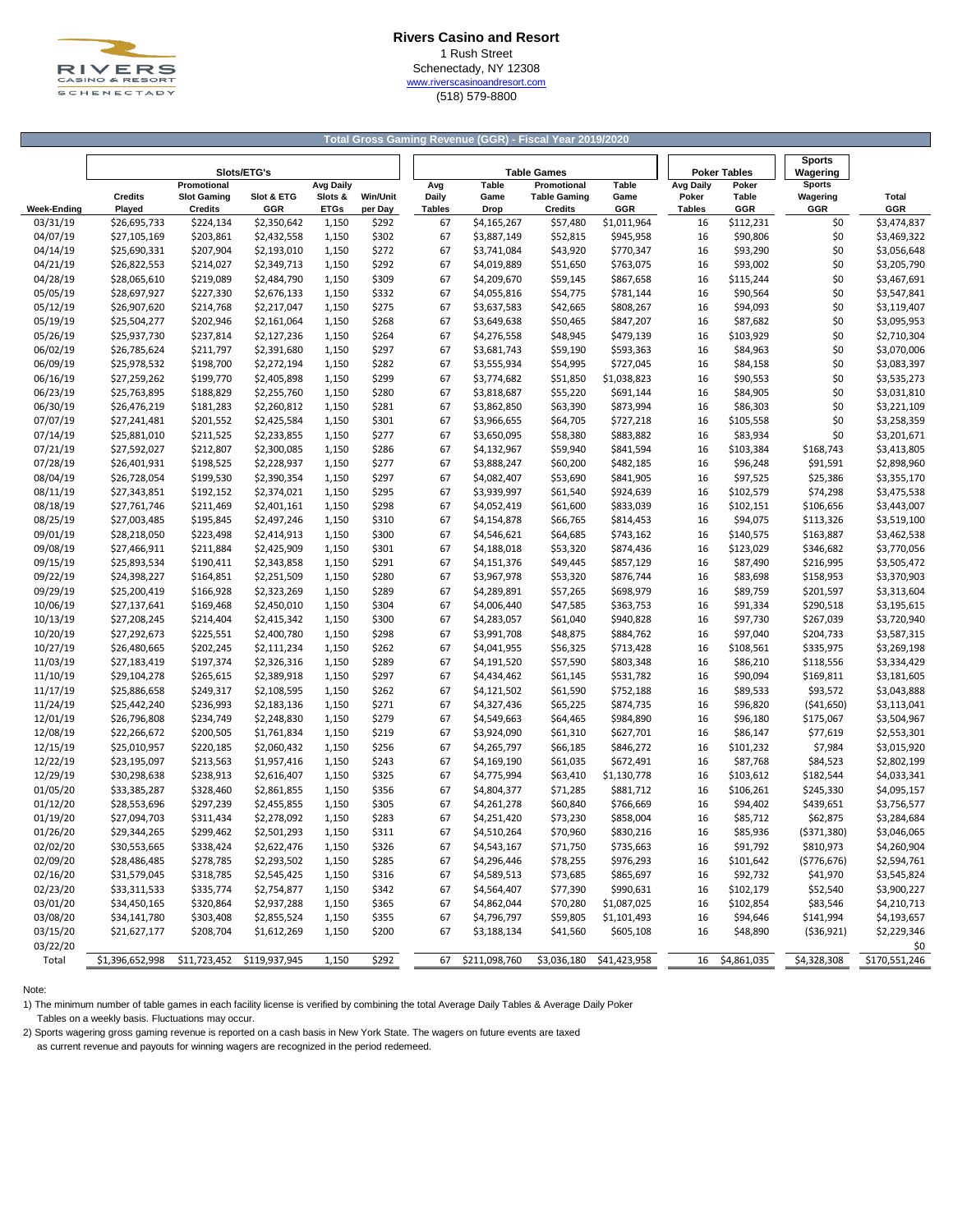

### **Rivers Casino and Resort** 1 Rush Street Schenectady, NY 12308 [w](http://www.riverscasinoandresort.com/)ww.riverscasinoandresort.com (518) 579-8800

#### **Total Gross Gaming Revenue (GGR) - Fiscal Year 2019/2020**

|                    |                 |                    | Slots/ETG's                |                |                 |               |                            | <b>Table Games</b>   |                        |               | <b>Poker Tables</b>  | <b>Sports</b><br>Wagering |                            |
|--------------------|-----------------|--------------------|----------------------------|----------------|-----------------|---------------|----------------------------|----------------------|------------------------|---------------|----------------------|---------------------------|----------------------------|
|                    |                 | Promotional        |                            | Avg Daily      |                 | Avg           | Table                      | Promotional          | Table                  | Avg Daily     | Poker                | <b>Sports</b>             |                            |
|                    | <b>Credits</b>  | <b>Slot Gaming</b> | Slot & ETG                 | Slots &        | <b>Win/Unit</b> | Daily         | Game                       | <b>Table Gaming</b>  | Game                   | Poker         | Table                | Wagering                  | Total                      |
| <b>Week-Ending</b> | Played          | <b>Credits</b>     | GGR                        | <b>ETGs</b>    | per Day         | <b>Tables</b> | Drop                       | <b>Credits</b>       | GGR                    | <b>Tables</b> | GGR                  | GGR                       | GGR                        |
| 03/31/19           | \$26,695,733    | \$224,134          | \$2,350,642                | 1,150          | \$292           | 67            | \$4,165,267                | \$57,480             | \$1,011,964            | 16            | \$112,231            | \$0                       | \$3,474,837                |
| 04/07/19           | \$27,105,169    | \$203,861          | \$2,432,558                | 1,150          | \$302           | 67            | \$3,887,149                | \$52,815             | \$945,958              | 16            | \$90,806             | \$0                       | \$3,469,322                |
| 04/14/19           | \$25,690,331    | \$207,904          | \$2,193,010                | 1,150          | \$272           | 67            | \$3,741,084                | \$43,920             | \$770,347              | 16            | \$93,290             | \$0                       | \$3,056,648                |
| 04/21/19           | \$26,822,553    | \$214,027          | \$2,349,713                | 1,150          | \$292           | 67            | \$4,019,889                | \$51,650             | \$763,075              | 16            | \$93,002             | \$0                       | \$3,205,790                |
| 04/28/19           | \$28,065,610    | \$219,089          | \$2,484,790                | 1,150          | \$309           | 67            | \$4,209,670                | \$59,145             | \$867,658              | 16            | \$115,244            | \$0                       | \$3,467,691                |
| 05/05/19           | \$28,697,927    | \$227,330          | \$2,676,133                | 1,150          | \$332           | 67            | \$4,055,816                | \$54,775             | \$781,144              | 16            | \$90,564             | \$0                       | \$3,547,841                |
| 05/12/19           | \$26,907,620    | \$214,768          | \$2,217,047                | 1,150          | \$275           | 67            | \$3,637,583                | \$42,665             | \$808,267              | 16            | \$94,093             | \$0                       | \$3,119,407                |
| 05/19/19           | \$25,504,277    | \$202,946          | \$2,161,064                | 1,150          | \$268           | 67            | \$3,649,638                | \$50,465             | \$847,207              | 16            | \$87,682             | \$0                       | \$3,095,953                |
| 05/26/19           | \$25,937,730    | \$237,814          | \$2,127,236                | 1,150          | \$264           | 67            | \$4,276,558                | \$48,945             | \$479,139              | 16            | \$103,929            | \$0                       | \$2,710,304                |
| 06/02/19           | \$26,785,624    | \$211,797          | \$2,391,680                | 1,150          | \$297           | 67            | \$3,681,743                | \$59,190             | \$593,363              | 16            | \$84,963             | \$0                       | \$3,070,006                |
| 06/09/19           | \$25,978,532    | \$198,700          | \$2,272,194                | 1,150          | \$282           | 67            | \$3,555,934                | \$54,995             | \$727,045              | 16            | \$84,158             | \$0                       | \$3,083,397                |
| 06/16/19           | \$27,259,262    | \$199,770          | \$2,405,898                | 1,150          | \$299           | 67            | \$3,774,682                | \$51,850             | \$1,038,823            | 16            | \$90,553             | \$0                       | \$3,535,273                |
| 06/23/19           | \$25,763,895    | \$188,829          | \$2,255,760                | 1,150          | \$280           | 67            | \$3,818,687                | \$55,220             | \$691,144              | 16            | \$84,905             | \$0                       | \$3,031,810                |
| 06/30/19           | \$26,476,219    | \$181,283          | \$2,260,812                | 1,150          | \$281           | 67            | \$3,862,850                | \$63,390             | \$873,994              | 16            | \$86,303             | \$0                       | \$3,221,109                |
| 07/07/19           | \$27,241,481    | \$201,552          | \$2,425,584                | 1,150          | \$301           | 67            | \$3,966,655                | \$64,705             | \$727,218              | 16            | \$105,558            | \$0                       | \$3,258,359                |
| 07/14/19           | \$25,881,010    | \$211,525          | \$2,233,855                | 1,150          | \$277           | 67            | \$3,650,095                | \$58,380             | \$883,882              | 16            | \$83,934             | \$0                       | \$3,201,671                |
| 07/21/19           | \$27,592,027    | \$212,807          | \$2,300,085                | 1,150          | \$286           | 67            | \$4,132,967                | \$59,940             | \$841,594              | 16            | \$103,384            | \$168,743                 | \$3,413,805                |
| 07/28/19           | \$26,401,931    | \$198,525          | \$2,228,937                | 1,150          | \$277           | 67            | \$3,888,247                | \$60,200             | \$482,185              | 16            | \$96,248             | \$91,591                  | \$2,898,960                |
| 08/04/19           | \$26,728,054    | \$199,530          | \$2,390,354                | 1,150          | \$297           | 67            | \$4,082,407                | \$53,690             | \$841,905              | 16            | \$97,525             | \$25,386                  | \$3,355,170                |
| 08/11/19           | \$27,343,851    | \$192,152          | \$2,374,021                | 1,150          | \$295           | 67            | \$3,939,997                | \$61,540             | \$924,639              | 16            | \$102,579            | \$74,298                  | \$3,475,538                |
| 08/18/19           | \$27,761,746    | \$211,469          | \$2,401,161                | 1,150          | \$298           | 67            | \$4,052,419                | \$61,600             | \$833,039              | 16            | \$102,151            | \$106,656                 | \$3,443,007                |
| 08/25/19           | \$27,003,485    | \$195,845          | \$2,497,246                | 1,150          | \$310           | 67            | \$4,154,878                | \$66,765             | \$814,453              | 16            | \$94,075             | \$113,326                 | \$3,519,100                |
| 09/01/19           | \$28,218,050    | \$223,498          | \$2,414,913                | 1,150          | \$300           | 67            | \$4,546,621                | \$64,685             | \$743,162              | 16            | \$140,575            | \$163,887                 | \$3,462,538                |
| 09/08/19           | \$27,466,911    | \$211,884          | \$2,425,909                | 1,150          | \$301           | 67            | \$4,188,018                | \$53,320             | \$874,436              | 16            | \$123,029            | \$346,682                 | \$3,770,056                |
| 09/15/19           | \$25,893,534    | \$190,411          |                            |                | \$291           | 67            |                            |                      |                        | 16            |                      |                           |                            |
| 09/22/19           | \$24,398,227    | \$164,851          | \$2,343,858<br>\$2,251,509 | 1,150<br>1,150 | \$280           | 67            | \$4,151,376<br>\$3,967,978 | \$49,445<br>\$53,320 | \$857,129<br>\$876,744 | 16            | \$87,490<br>\$83,698 | \$216,995<br>\$158,953    | \$3,505,472<br>\$3,370,903 |
|                    |                 |                    |                            |                |                 |               |                            |                      |                        |               |                      |                           |                            |
| 09/29/19           | \$25,200,419    | \$166,928          | \$2,323,269                | 1,150          | \$289<br>\$304  | 67            | \$4,289,891                | \$57,265             | \$698,979              | 16            | \$89,759             | \$201,597                 | \$3,313,604                |
| 10/06/19           | \$27,137,641    | \$169,468          | \$2,450,010                | 1,150          |                 | 67            | \$4,006,440                | \$47,585             | \$363,753              | 16            | \$91,334             | \$290,518                 | \$3,195,615                |
| 10/13/19           | \$27,208,245    | \$214,404          | \$2,415,342                | 1,150          | \$300           | 67            | \$4,283,057                | \$61,040             | \$940,828              | 16            | \$97,730             | \$267,039                 | \$3,720,940                |
| 10/20/19           | \$27,292,673    | \$225,551          | \$2,400,780                | 1,150          | \$298           | 67            | \$3,991,708                | \$48,875             | \$884,762              | 16            | \$97,040             | \$204,733                 | \$3,587,315                |
| 10/27/19           | \$26,480,665    | \$202,245          | \$2,111,234                | 1,150          | \$262           | 67            | \$4,041,955                | \$56,325             | \$713,428              | 16            | \$108,561            | \$335,975                 | \$3,269,198                |
| 11/03/19           | \$27,183,419    | \$197,374          | \$2,326,316                | 1,150          | \$289           | 67            | \$4,191,520                | \$57,590             | \$803,348              | 16            | \$86,210             | \$118,556                 | \$3,334,429                |
| 11/10/19           | \$29,104,278    | \$265,615          | \$2,389,918                | 1,150          | \$297           | 67            | \$4,434,462                | \$61,145             | \$531,782              | 16            | \$90,094             | \$169,811                 | \$3,181,605                |
| 11/17/19           | \$25,886,658    | \$249,317          | \$2,108,595                | 1,150          | \$262           | 67            | \$4,121,502                | \$61,590             | \$752,188              | 16            | \$89,533             | \$93,572                  | \$3,043,888                |
| 11/24/19           | \$25,442,240    | \$236,993          | \$2,183,136                | 1,150          | \$271           | 67            | \$4,327,436                | \$65,225             | \$874,735              | 16            | \$96,820             | ( \$41,650)               | \$3,113,041                |
| 12/01/19           | \$26,796,808    | \$234,749          | \$2,248,830                | 1,150          | \$279           | 67            | \$4,549,663                | \$64,465             | \$984,890              | 16            | \$96,180             | \$175,067                 | \$3,504,967                |
| 12/08/19           | \$22,266,672    | \$200,505          | \$1,761,834                | 1,150          | \$219           | 67            | \$3,924,090                | \$61,310             | \$627,701              | 16            | \$86,147             | \$77,619                  | \$2,553,301                |
| 12/15/19           | \$25,010,957    | \$220,185          | \$2,060,432                | 1,150          | \$256           | 67            | \$4,265,797                | \$66,185             | \$846,272              | 16            | \$101,232            | \$7,984                   | \$3,015,920                |
| 12/22/19           | \$23,195,097    | \$213,563          | \$1,957,416                | 1,150          | \$243           | 67            | \$4,169,190                | \$61,035             | \$672,491              | 16            | \$87,768             | \$84,523                  | \$2,802,199                |
| 12/29/19           | \$30,298,638    | \$238,913          | \$2,616,407                | 1,150          | \$325           | 67            | \$4,775,994                | \$63,410             | \$1,130,778            | 16            | \$103,612            | \$182,544                 | \$4,033,341                |
| 01/05/20           | \$33,385,287    | \$328,460          | \$2,861,855                | 1,150          | \$356           | 67            | \$4,804,377                | \$71,285             | \$881,712              | 16            | \$106,261            | \$245,330                 | \$4,095,157                |
| 01/12/20           | \$28,553,696    | \$297,239          | \$2,455,855                | 1,150          | \$305           | 67            | \$4,261,278                | \$60,840             | \$766,669              | 16            | \$94,402             | \$439,651                 | \$3,756,577                |
| 01/19/20           | \$27,094,703    | \$311,434          | \$2,278,092                | 1,150          | \$283           | 67            | \$4,251,420                | \$73,230             | \$858,004              | 16            | \$85,712             | \$62,875                  | \$3,284,684                |
| 01/26/20           | \$29,344,265    | \$299,462          | \$2,501,293                | 1,150          | \$311           | 67            | \$4,510,264                | \$70,960             | \$830,216              | 16            | \$85,936             | ( \$371, 380)             | \$3,046,065                |
| 02/02/20           | \$30,553,665    | \$338,424          | \$2,622,476                | 1,150          | \$326           | 67            | \$4,543,167                | \$71,750             | \$735,663              | 16            | \$91,792             | \$810,973                 | \$4,260,904                |
| 02/09/20           | \$28,486,485    | \$278,785          | \$2,293,502                | 1,150          | \$285           | 67            | \$4,296,446                | \$78,255             | \$976,293              | 16            | \$101,642            | (5776, 676)               | \$2,594,761                |
| 02/16/20           | \$31,579,045    | \$318,785          | \$2,545,425                | 1,150          | \$316           | 67            | \$4,589,513                | \$73,685             | \$865,697              | 16            | \$92,732             | \$41,970                  | \$3,545,824                |
| 02/23/20           | \$33,311,533    | \$335,774          | \$2,754,877                | 1,150          | \$342           | 67            | \$4,564,407                | \$77,390             | \$990,631              | 16            | \$102,179            | \$52,540                  | \$3,900,227                |
| 03/01/20           | \$34,450,165    | \$320,864          | \$2,937,288                | 1,150          | \$365           | 67            | \$4,862,044                | \$70,280             | \$1,087,025            | 16            | \$102,854            | \$83,546                  | \$4,210,713                |
| 03/08/20           | \$34,141,780    | \$303,408          | \$2,855,524                | 1,150          | \$355           | 67            | \$4,796,797                | \$59,805             | \$1,101,493            | 16            | \$94,646             | \$141,994                 | \$4,193,657                |
| 03/15/20           | \$21,627,177    | \$208,704          | \$1,612,269                | 1,150          | \$200           | 67            | \$3,188,134                | \$41,560             | \$605,108              | 16            | \$48,890             | ( \$36, 921)              | \$2,229,346                |
| 03/22/20           |                 |                    |                            |                |                 |               |                            |                      |                        |               |                      |                           | \$0                        |
| Total              | \$1,396,652,998 | \$11,723,452       | \$119,937,945              | 1,150          | \$292           | 67            | \$211,098,760              | \$3,036,180          | \$41,423,958           | 16            | \$4,861,035          | \$4,328,308               | \$170,551,246              |

Note:

1) The minimum number of table games in each facility license is verified by combining the total Average Daily Tables & Average Daily Poker Tables on a weekly basis. Fluctuations may occur.

2) Sports wagering gross gaming revenue is reported on a cash basis in New York State. The wagers on future events are taxed

as current revenue and payouts for winning wagers are recognized in the period redemeed.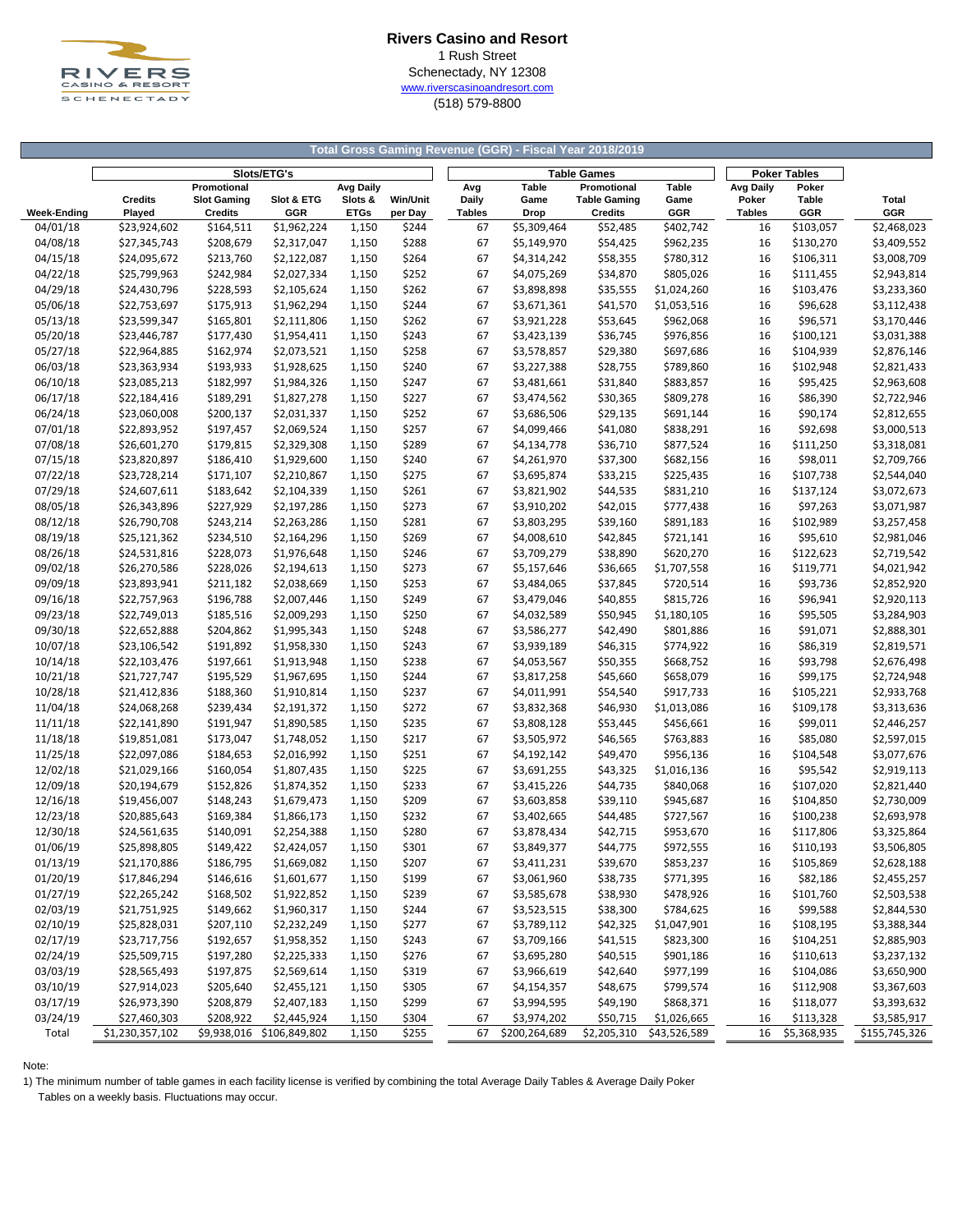

## **Rivers Casino and Resort** 1 Rush Street Schenectady, NY 12308 [w](http://www.riverscasinoandresort.com/)ww.riverscasinoandresort.com (518) 579-8800

#### **Total Gross Gaming Revenue (GGR) - Fiscal Year 2018/2019**

|                    |                 |                    |                           | <b>Table Games</b> | <b>Poker Tables</b> |               |                            |                     |              |                  |             |               |
|--------------------|-----------------|--------------------|---------------------------|--------------------|---------------------|---------------|----------------------------|---------------------|--------------|------------------|-------------|---------------|
|                    |                 | Promotional        | Slots/ETG's               | <b>Avg Daily</b>   |                     | Avg           | Table                      | Promotional         | <b>Table</b> | <b>Avg Daily</b> | Poker       |               |
|                    | <b>Credits</b>  | <b>Slot Gaming</b> | Slot & ETG                | Slots &            | <b>Win/Unit</b>     | Daily         | Game                       | <b>Table Gaming</b> | Game         | Poker            | Table       | Total         |
| <b>Week-Ending</b> | Played          | <b>Credits</b>     | GGR                       | <b>ETGs</b>        | per Day             | <b>Tables</b> | Drop                       | <b>Credits</b>      | GGR          | <b>Tables</b>    | GGR         | GGR           |
| 04/01/18           | \$23,924,602    | \$164,511          | \$1,962,224               | 1,150              | \$244               | 67            | \$5,309,464                | \$52,485            | \$402,742    | 16               | \$103,057   | \$2,468,023   |
| 04/08/18           | \$27,345,743    | \$208,679          | \$2,317,047               | 1,150              | \$288               | 67            | \$5,149,970                | \$54,425            | \$962,235    | 16               | \$130,270   | \$3,409,552   |
| 04/15/18           | \$24,095,672    | \$213,760          | \$2,122,087               | 1,150              | \$264               | 67            | \$4,314,242                | \$58,355            | \$780,312    | 16               | \$106,311   | \$3,008,709   |
| 04/22/18           | \$25,799,963    | \$242,984          | \$2,027,334               | 1,150              | \$252               | 67            | \$4,075,269                | \$34,870            | \$805,026    | 16               | \$111,455   | \$2,943,814   |
| 04/29/18           | \$24,430,796    | \$228,593          | \$2,105,624               | 1,150              | \$262               | 67            | \$3,898,898                | \$35,555            | \$1,024,260  | 16               | \$103,476   | \$3,233,360   |
| 05/06/18           | \$22,753,697    | \$175,913          | \$1,962,294               | 1,150              | \$244               | 67            | \$3,671,361                | \$41,570            | \$1,053,516  | 16               | \$96,628    | \$3,112,438   |
| 05/13/18           | \$23,599,347    | \$165,801          | \$2,111,806               | 1,150              | \$262               | 67            | \$3,921,228                | \$53,645            | \$962,068    | 16               | \$96,571    | \$3,170,446   |
|                    | \$23,446,787    |                    |                           |                    |                     | 67            |                            |                     | \$976,856    | 16               |             |               |
| 05/20/18           |                 | \$177,430          | \$1,954,411               | 1,150              | \$243               |               | \$3,423,139                | \$36,745            |              |                  | \$100,121   | \$3,031,388   |
| 05/27/18           | \$22,964,885    | \$162,974          | \$2,073,521               | 1,150              | \$258               | 67            | \$3,578,857                | \$29,380            | \$697,686    | 16               | \$104,939   | \$2,876,146   |
| 06/03/18           | \$23,363,934    | \$193,933          | \$1,928,625               | 1,150              | \$240               | 67            | \$3,227,388                | \$28,755            | \$789,860    | 16               | \$102,948   | \$2,821,433   |
| 06/10/18           | \$23,085,213    | \$182,997          | \$1,984,326               | 1,150              | \$247               | 67            | \$3,481,661                | \$31,840            | \$883,857    | 16               | \$95,425    | \$2,963,608   |
| 06/17/18           | \$22,184,416    | \$189,291          | \$1,827,278               | 1,150              | \$227               | 67            | \$3,474,562                | \$30,365            | \$809,278    | 16               | \$86,390    | \$2,722,946   |
| 06/24/18           | \$23,060,008    | \$200,137          | \$2,031,337               | 1,150              | \$252               | 67            | \$3,686,506                | \$29,135            | \$691,144    | 16               | \$90,174    | \$2,812,655   |
| 07/01/18           | \$22,893,952    | \$197,457          | \$2,069,524               | 1,150              | \$257               | 67            | \$4,099,466                | \$41,080            | \$838,291    | 16               | \$92,698    | \$3,000,513   |
| 07/08/18           | \$26,601,270    | \$179,815          | \$2,329,308               | 1,150              | \$289               | 67            | \$4,134,778                | \$36,710            | \$877,524    | 16               | \$111,250   | \$3,318,081   |
| 07/15/18           | \$23,820,897    | \$186,410          | \$1,929,600               | 1,150              | \$240               | 67            | \$4,261,970                | \$37,300            | \$682,156    | 16               | \$98,011    | \$2,709,766   |
| 07/22/18           | \$23,728,214    | \$171,107          | \$2,210,867               | 1,150              | \$275               | 67            | \$3,695,874                | \$33,215            | \$225,435    | 16               | \$107,738   | \$2,544,040   |
| 07/29/18           | \$24,607,611    | \$183,642          | \$2,104,339               | 1,150              | \$261               | 67            | \$3,821,902                | \$44,535            | \$831,210    | 16               | \$137,124   | \$3,072,673   |
| 08/05/18           | \$26,343,896    | \$227,929          | \$2,197,286               | 1,150              | \$273               | 67            | \$3,910,202                | \$42,015            | \$777,438    | 16               | \$97,263    | \$3,071,987   |
| 08/12/18           | \$26,790,708    | \$243,214          | \$2,263,286               | 1,150              | \$281               | 67            | \$3,803,295                | \$39,160            | \$891,183    | 16               | \$102,989   | \$3,257,458   |
| 08/19/18           | \$25,121,362    | \$234,510          | \$2,164,296               | 1,150              | \$269               | 67            | \$4,008,610                | \$42,845            | \$721,141    | 16               | \$95,610    | \$2,981,046   |
| 08/26/18           | \$24,531,816    | \$228,073          | \$1,976,648               | 1,150              | \$246               | 67            | \$3,709,279                | \$38,890            | \$620,270    | 16               | \$122,623   | \$2,719,542   |
| 09/02/18           | \$26,270,586    | \$228,026          | \$2,194,613               | 1,150              | \$273               | 67            | \$5,157,646                | \$36,665            | \$1,707,558  | 16               | \$119,771   | \$4,021,942   |
| 09/09/18           | \$23,893,941    | \$211,182          | \$2,038,669               | 1,150              | \$253               | 67            | \$3,484,065                | \$37,845            | \$720,514    | 16               | \$93,736    | \$2,852,920   |
| 09/16/18           | \$22,757,963    | \$196,788          | \$2,007,446               | 1,150              | \$249               | 67            | \$3,479,046                | \$40,855            | \$815,726    | 16               | \$96,941    | \$2,920,113   |
| 09/23/18           | \$22,749,013    | \$185,516          | \$2,009,293               | 1,150              | \$250               | 67            | \$4,032,589                | \$50,945            | \$1,180,105  | 16               | \$95,505    | \$3,284,903   |
| 09/30/18           | \$22,652,888    | \$204,862          | \$1,995,343               | 1,150              | \$248               | 67            | \$3,586,277                | \$42,490            | \$801,886    | 16               | \$91,071    | \$2,888,301   |
| 10/07/18           | \$23,106,542    | \$191,892          | \$1,958,330               | 1,150              | \$243               | 67            | \$3,939,189                | \$46,315            | \$774,922    | 16               | \$86,319    | \$2,819,571   |
| 10/14/18           | \$22,103,476    | \$197,661          | \$1,913,948               | 1,150              | \$238               | 67            | \$4,053,567                | \$50,355            | \$668,752    | 16               | \$93,798    | \$2,676,498   |
| 10/21/18           | \$21,727,747    | \$195,529          | \$1,967,695               | 1,150              | \$244               | 67            | \$3,817,258                | \$45,660            | \$658,079    | 16               | \$99,175    | \$2,724,948   |
| 10/28/18           | \$21,412,836    | \$188,360          | \$1,910,814               | 1,150              | \$237               | 67            | \$4,011,991                | \$54,540            | \$917,733    | 16               | \$105,221   | \$2,933,768   |
| 11/04/18           | \$24,068,268    | \$239,434          | \$2,191,372               | 1,150              | \$272               | 67            | \$3,832,368                | \$46,930            | \$1,013,086  | 16               | \$109,178   | \$3,313,636   |
|                    |                 |                    |                           |                    |                     |               |                            |                     |              | 16               |             |               |
| 11/11/18           | \$22,141,890    | \$191,947          | \$1,890,585               | 1,150              | \$235               | 67            | \$3,808,128<br>\$3,505,972 | \$53,445            | \$456,661    |                  | \$99,011    | \$2,446,257   |
| 11/18/18           | \$19,851,081    | \$173,047          | \$1,748,052               | 1,150              | \$217               | 67            |                            | \$46,565            | \$763,883    | 16               | \$85,080    | \$2,597,015   |
| 11/25/18           | \$22,097,086    | \$184,653          | \$2,016,992               | 1,150              | \$251               | 67            | \$4,192,142                | \$49,470            | \$956,136    | 16               | \$104,548   | \$3,077,676   |
| 12/02/18           | \$21,029,166    | \$160,054          | \$1,807,435               | 1,150              | \$225               | 67            | \$3,691,255                | \$43,325            | \$1,016,136  | 16               | \$95,542    | \$2,919,113   |
| 12/09/18           | \$20,194,679    | \$152,826          | \$1,874,352               | 1,150              | \$233               | 67            | \$3,415,226                | \$44,735            | \$840,068    | 16               | \$107,020   | \$2,821,440   |
| 12/16/18           | \$19,456,007    | \$148,243          | \$1,679,473               | 1,150              | \$209               | 67            | \$3,603,858                | \$39,110            | \$945,687    | 16               | \$104,850   | \$2,730,009   |
| 12/23/18           | \$20,885,643    | \$169,384          | \$1,866,173               | 1,150              | \$232               | 67            | \$3,402,665                | \$44,485            | \$727,567    | 16               | \$100,238   | \$2,693,978   |
| 12/30/18           | \$24,561,635    | \$140,091          | \$2,254,388               | 1,150              | \$280               | 67            | \$3,878,434                | \$42,715            | \$953,670    | 16               | \$117,806   | \$3,325,864   |
| 01/06/19           | \$25,898,805    | \$149,422          | \$2,424,057               | 1,150              | \$301               | 67            | \$3,849,377                | \$44,775            | \$972,555    | 16               | \$110,193   | \$3,506,805   |
| 01/13/19           | \$21,170,886    | \$186,795          | \$1,669,082               | 1,150              | \$207               | 67            | \$3,411,231                | \$39,670            | \$853,237    | 16               | \$105,869   | \$2,628,188   |
| 01/20/19           | \$17,846,294    | \$146,616          | \$1,601,677               | 1,150              | \$199               | 67            | \$3,061,960                | \$38,735            | \$771,395    | 16               | \$82,186    | \$2,455,257   |
| 01/27/19           | \$22,265,242    | \$168,502          | \$1,922,852               | 1,150              | \$239               | 67            | \$3,585,678                | \$38,930            | \$478,926    | 16               | \$101,760   | \$2,503,538   |
| 02/03/19           | \$21,751,925    | \$149,662          | \$1,960,317               | 1,150              | \$244               | 67            | \$3,523,515                | \$38,300            | \$784,625    | 16               | \$99,588    | \$2,844,530   |
| 02/10/19           | \$25,828,031    | \$207,110          | \$2,232,249               | 1,150              | \$277               | 67            | \$3,789,112                | \$42,325            | \$1,047,901  | 16               | \$108,195   | \$3,388,344   |
| 02/17/19           | \$23,717,756    | \$192,657          | \$1,958,352               | 1,150              | \$243               | 67            | \$3,709,166                | \$41,515            | \$823,300    | 16               | \$104,251   | \$2,885,903   |
| 02/24/19           | \$25,509,715    | \$197,280          | \$2,225,333               | 1,150              | \$276               | 67            | \$3,695,280                | \$40,515            | \$901,186    | 16               | \$110,613   | \$3,237,132   |
| 03/03/19           | \$28,565,493    | \$197,875          | \$2,569,614               | 1,150              | \$319               | 67            | \$3,966,619                | \$42,640            | \$977,199    | 16               | \$104,086   | \$3,650,900   |
| 03/10/19           | \$27,914,023    | \$205,640          | \$2,455,121               | 1,150              | \$305               | 67            | \$4,154,357                | \$48,675            | \$799,574    | 16               | \$112,908   | \$3,367,603   |
| 03/17/19           | \$26,973,390    | \$208,879          | \$2,407,183               | 1,150              | \$299               | 67            | \$3,994,595                | \$49,190            | \$868,371    | 16               | \$118,077   | \$3,393,632   |
| 03/24/19           | \$27,460,303    | \$208,922          | \$2,445,924               | 1,150              | \$304               | 67            | \$3,974,202                | \$50,715            | \$1,026,665  | 16               | \$113,328   | \$3,585,917   |
| Total              | \$1,230,357,102 |                    | \$9,938,016 \$106,849,802 | 1,150              | \$255               | 67            | \$200,264,689              | \$2,205,310         | \$43,526,589 | 16               | \$5,368,935 | \$155,745,326 |

Note:

1) The minimum number of table games in each facility license is verified by combining the total Average Daily Tables & Average Daily Poker

Tables on a weekly basis. Fluctuations may occur.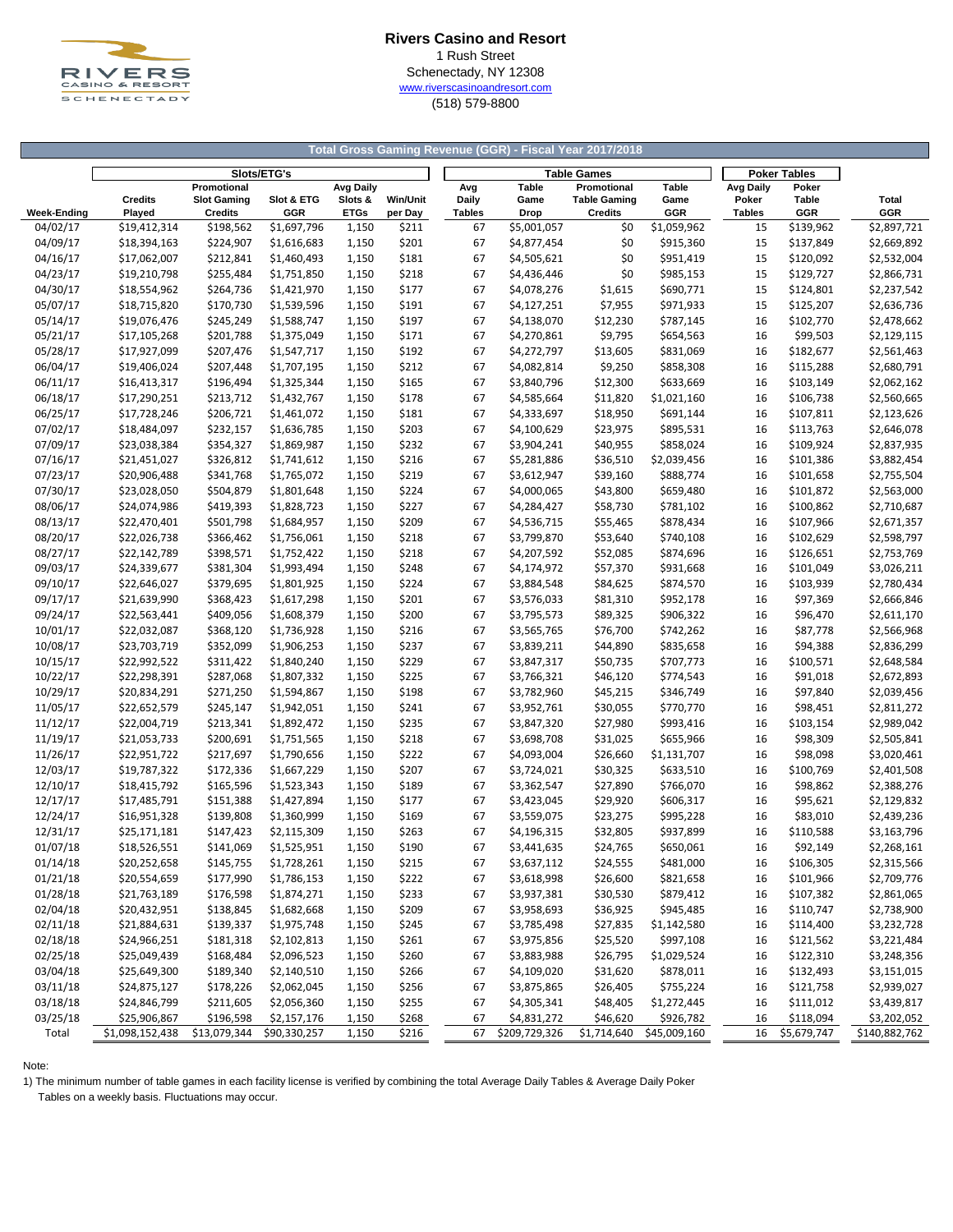

## **Rivers Casino and Resort** 1 Rush Street Schenectady, NY 12308 [w](http://www.riverscasinoandresort.com/)ww.riverscasinoandresort.com (518) 579-8800

#### **Total Gross Gaming Revenue (GGR) - Fiscal Year 2017/2018**

|                    | Slots/ETG's     |                    |              |                  |                 |               |       |                              | <b>Table Games</b>  | <b>Poker Tables</b>       |               |              |               |
|--------------------|-----------------|--------------------|--------------|------------------|-----------------|---------------|-------|------------------------------|---------------------|---------------------------|---------------|--------------|---------------|
|                    |                 | Promotional        |              | <b>Avg Daily</b> |                 |               | Avg   | <b>Table</b>                 | Promotional         | Table                     | Avg Daily     | Poker        |               |
|                    | <b>Credits</b>  | <b>Slot Gaming</b> | Slot & ETG   | Slots &          | <b>Win/Unit</b> |               | Daily | Game                         | <b>Table Gaming</b> | Game                      | Poker         | <b>Table</b> | Total         |
| <b>Week-Ending</b> | Played          | <b>Credits</b>     | GGR          | <b>ETGs</b>      | per Day         | <b>Tables</b> |       | Drop                         | <b>Credits</b>      | <b>GGR</b>                | <b>Tables</b> | GGR          | GGR           |
| 04/02/17           | \$19,412,314    | \$198,562          | \$1,697,796  | 1,150            | \$211           |               | 67    | \$5,001,057                  | \$0                 | \$1,059,962               | 15            | \$139,962    | \$2,897,721   |
| 04/09/17           | \$18,394,163    | \$224,907          | \$1,616,683  | 1,150            | \$201           |               | 67    | \$4,877,454                  | \$0                 | \$915,360                 | 15            | \$137,849    | \$2,669,892   |
| 04/16/17           | \$17,062,007    | \$212,841          | \$1,460,493  | 1,150            | \$181           |               | 67    | \$4,505,621                  | \$0                 | \$951,419                 | 15            | \$120,092    | \$2,532,004   |
| 04/23/17           | \$19,210,798    | \$255,484          | \$1,751,850  | 1,150            | \$218           |               | 67    | \$4,436,446                  | \$0                 | \$985,153                 | 15            | \$129,727    | \$2,866,731   |
| 04/30/17           | \$18,554,962    | \$264,736          | \$1,421,970  | 1,150            | \$177           |               | 67    | \$4,078,276                  | \$1,615             | \$690,771                 | 15            | \$124,801    | \$2,237,542   |
| 05/07/17           | \$18,715,820    | \$170,730          | \$1,539,596  | 1,150            | \$191           |               | 67    | \$4,127,251                  | \$7,955             | \$971,933                 | 15            | \$125,207    | \$2,636,736   |
| 05/14/17           | \$19,076,476    | \$245,249          | \$1,588,747  | 1,150            | \$197           |               | 67    | \$4,138,070                  | \$12,230            | \$787,145                 | 16            | \$102,770    | \$2,478,662   |
| 05/21/17           | \$17,105,268    | \$201,788          | \$1,375,049  | 1,150            | \$171           |               | 67    | \$4,270,861                  | \$9,795             | \$654,563                 | 16            | \$99,503     | \$2,129,115   |
| 05/28/17           | \$17,927,099    | \$207,476          | \$1,547,717  | 1,150            | \$192           |               | 67    | \$4,272,797                  | \$13,605            | \$831,069                 | 16            | \$182,677    | \$2,561,463   |
| 06/04/17           | \$19,406,024    | \$207,448          | \$1,707,195  | 1,150            | \$212           |               | 67    | \$4,082,814                  | \$9,250             | \$858,308                 | 16            | \$115,288    | \$2,680,791   |
| 06/11/17           | \$16,413,317    | \$196,494          | \$1,325,344  | 1,150            | \$165           |               | 67    | \$3,840,796                  | \$12,300            | \$633,669                 | 16            | \$103,149    | \$2,062,162   |
| 06/18/17           | \$17,290,251    | \$213,712          | \$1,432,767  | 1,150            | \$178           |               | 67    | \$4,585,664                  | \$11,820            | \$1,021,160               | 16            | \$106,738    | \$2,560,665   |
| 06/25/17           | \$17,728,246    | \$206,721          | \$1,461,072  | 1,150            | \$181           |               | 67    | \$4,333,697                  | \$18,950            | \$691,144                 | 16            | \$107,811    | \$2,123,626   |
| 07/02/17           | \$18,484,097    | \$232,157          | \$1,636,785  |                  | \$203           |               | 67    | \$4,100,629                  | \$23,975            | \$895,531                 | 16            | \$113,763    | \$2,646,078   |
|                    |                 |                    |              | 1,150            |                 |               |       |                              |                     |                           |               |              |               |
| 07/09/17           | \$23,038,384    | \$354,327          | \$1,869,987  | 1,150            | \$232           |               | 67    | \$3,904,241                  | \$40,955            | \$858,024                 | 16            | \$109,924    | \$2,837,935   |
| 07/16/17           | \$21,451,027    | \$326,812          | \$1,741,612  | 1,150            | \$216           |               | 67    | \$5,281,886                  | \$36,510            | \$2,039,456               | 16            | \$101,386    | \$3,882,454   |
| 07/23/17           | \$20,906,488    | \$341,768          | \$1,765,072  | 1,150            | \$219           |               | 67    | \$3,612,947                  | \$39,160            | \$888,774                 | 16            | \$101,658    | \$2,755,504   |
| 07/30/17           | \$23,028,050    | \$504,879          | \$1,801,648  | 1,150            | \$224           |               | 67    | \$4,000,065                  | \$43,800            | \$659,480                 | 16            | \$101,872    | \$2,563,000   |
| 08/06/17           | \$24,074,986    | \$419,393          | \$1,828,723  | 1,150            | \$227           |               | 67    | \$4,284,427                  | \$58,730            | \$781,102                 | 16            | \$100,862    | \$2,710,687   |
| 08/13/17           | \$22,470,401    | \$501,798          | \$1,684,957  | 1,150            | \$209           |               | 67    | \$4,536,715                  | \$55,465            | \$878,434                 | 16            | \$107,966    | \$2,671,357   |
| 08/20/17           | \$22,026,738    | \$366,462          | \$1,756,061  | 1,150            | \$218           |               | 67    | \$3,799,870                  | \$53,640            | \$740,108                 | 16            | \$102,629    | \$2,598,797   |
| 08/27/17           | \$22,142,789    | \$398,571          | \$1,752,422  | 1,150            | \$218           |               | 67    | \$4,207,592                  | \$52,085            | \$874,696                 | 16            | \$126,651    | \$2,753,769   |
| 09/03/17           | \$24,339,677    | \$381,304          | \$1,993,494  | 1,150            | \$248           |               | 67    | \$4,174,972                  | \$57,370            | \$931,668                 | 16            | \$101,049    | \$3,026,211   |
| 09/10/17           | \$22,646,027    | \$379,695          | \$1,801,925  | 1,150            | \$224           |               | 67    | \$3,884,548                  | \$84,625            | \$874,570                 | 16            | \$103,939    | \$2,780,434   |
| 09/17/17           | \$21,639,990    | \$368,423          | \$1,617,298  | 1,150            | \$201           |               | 67    | \$3,576,033                  | \$81,310            | \$952,178                 | 16            | \$97,369     | \$2,666,846   |
| 09/24/17           | \$22,563,441    | \$409,056          | \$1,608,379  | 1,150            | \$200           |               | 67    | \$3,795,573                  | \$89,325            | \$906,322                 | 16            | \$96,470     | \$2,611,170   |
| 10/01/17           | \$22,032,087    | \$368,120          | \$1,736,928  | 1,150            | \$216           |               | 67    | \$3,565,765                  | \$76,700            | \$742,262                 | 16            | \$87,778     | \$2,566,968   |
| 10/08/17           | \$23,703,719    | \$352,099          | \$1,906,253  | 1,150            | \$237           |               | 67    | \$3,839,211                  | \$44,890            | \$835,658                 | 16            | \$94,388     | \$2,836,299   |
| 10/15/17           | \$22,992,522    | \$311,422          | \$1,840,240  | 1,150            | \$229           |               | 67    | \$3,847,317                  | \$50,735            | \$707,773                 | 16            | \$100,571    | \$2,648,584   |
| 10/22/17           | \$22,298,391    | \$287,068          | \$1,807,332  | 1,150            | \$225           |               | 67    | \$3,766,321                  | \$46,120            | \$774,543                 | 16            | \$91,018     | \$2,672,893   |
| 10/29/17           | \$20,834,291    | \$271,250          | \$1,594,867  | 1,150            | \$198           |               | 67    | \$3,782,960                  | \$45,215            | \$346,749                 | 16            | \$97,840     | \$2,039,456   |
| 11/05/17           | \$22,652,579    | \$245,147          | \$1,942,051  | 1,150            | \$241           |               | 67    | \$3,952,761                  | \$30,055            | \$770,770                 | 16            | \$98,451     | \$2,811,272   |
| 11/12/17           | \$22,004,719    | \$213,341          | \$1,892,472  | 1,150            | \$235           |               | 67    | \$3,847,320                  | \$27,980            | \$993,416                 | 16            | \$103,154    | \$2,989,042   |
| 11/19/17           | \$21,053,733    | \$200,691          | \$1,751,565  | 1,150            | \$218           |               | 67    | \$3,698,708                  | \$31,025            | \$655,966                 | 16            | \$98,309     | \$2,505,841   |
| 11/26/17           | \$22,951,722    | \$217,697          | \$1,790,656  | 1,150            | \$222           |               | 67    | \$4,093,004                  | \$26,660            | \$1,131,707               | 16            | \$98,098     | \$3,020,461   |
| 12/03/17           | \$19,787,322    | \$172,336          | \$1,667,229  | 1,150            | \$207           |               | 67    | \$3,724,021                  | \$30,325            | \$633,510                 | 16            | \$100,769    | \$2,401,508   |
| 12/10/17           | \$18,415,792    | \$165,596          | \$1,523,343  | 1,150            | \$189           |               | 67    | \$3,362,547                  | \$27,890            | \$766,070                 | 16            | \$98,862     | \$2,388,276   |
| 12/17/17           | \$17,485,791    | \$151,388          | \$1,427,894  | 1,150            | \$177           |               | 67    | \$3,423,045                  | \$29,920            | \$606,317                 | 16            | \$95,621     | \$2,129,832   |
| 12/24/17           | \$16,951,328    | \$139,808          | \$1,360,999  | 1,150            | \$169           |               | 67    | \$3,559,075                  | \$23,275            | \$995,228                 | 16            | \$83,010     | \$2,439,236   |
| 12/31/17           | \$25,171,181    | \$147,423          | \$2,115,309  | 1,150            | \$263           |               | 67    | \$4,196,315                  | \$32,805            | \$937,899                 | 16            | \$110,588    | \$3,163,796   |
| 01/07/18           | \$18,526,551    | \$141,069          | \$1,525,951  | 1,150            | \$190           |               | 67    | \$3,441,635                  | \$24,765            | \$650,061                 | 16            | \$92,149     | \$2,268,161   |
| 01/14/18           | \$20,252,658    | \$145,755          | \$1,728,261  | 1,150            | \$215           |               | 67    | \$3,637,112                  | \$24,555            | \$481,000                 | 16            | \$106,305    | \$2,315,566   |
| 01/21/18           | \$20,554,659    | \$177,990          | \$1,786,153  | 1,150            | \$222           |               | 67    | \$3,618,998                  | \$26,600            | \$821,658                 | 16            | \$101,966    | \$2,709,776   |
| 01/28/18           | \$21,763,189    | \$176,598          | \$1,874,271  | 1,150            | \$233           |               | 67    | \$3,937,381                  | \$30,530            | \$879,412                 | 16            | \$107,382    | \$2,861,065   |
| 02/04/18           | \$20,432,951    | \$138,845          | \$1,682,668  | 1,150            | \$209           |               | 67    | \$3,958,693                  | \$36,925            | \$945,485                 | 16            | \$110,747    | \$2,738,900   |
| 02/11/18           | \$21,884,631    | \$139,337          | \$1,975,748  | 1,150            | \$245           |               | 67    | \$3,785,498                  | \$27,835            | \$1,142,580               | 16            | \$114,400    | \$3,232,728   |
| 02/18/18           | \$24,966,251    | \$181,318          | \$2,102,813  | 1,150            | \$261           |               | 67    | \$3,975,856                  | \$25,520            | \$997,108                 | 16            | \$121,562    | \$3,221,484   |
| 02/25/18           | \$25,049,439    | \$168,484          | \$2,096,523  | 1,150            | \$260           |               | 67    | \$3,883,988                  | \$26,795            | \$1,029,524               | 16            | \$122,310    | \$3,248,356   |
|                    |                 |                    |              |                  |                 |               |       |                              |                     |                           |               |              | \$3,151,015   |
| 03/04/18           | \$25,649,300    | \$189,340          | \$2,140,510  | 1,150            | \$266           |               | 67    | \$4,109,020                  | \$31,620            | \$878,011                 | 16            | \$132,493    |               |
| 03/11/18           | \$24,875,127    | \$178,226          | \$2,062,045  | 1,150            | \$256           |               | 67    | \$3,875,865                  | \$26,405            | \$755,224                 | 16            | \$121,758    | \$2,939,027   |
| 03/18/18           | \$24,846,799    | \$211,605          | \$2,056,360  | 1,150            | \$255           |               | 67    | \$4,305,341                  | \$48,405            | \$1,272,445               | 16            | \$111,012    | \$3,439,817   |
| 03/25/18           | \$25,906,867    | \$196,598          | \$2,157,176  | 1,150            | \$268           |               | 67    | \$4,831,272<br>\$209,729,326 | \$46,620            | \$926,782<br>\$45,009,160 | 16            | \$118,094    | \$3,202,052   |
| Total              | \$1,098,152,438 | \$13,079,344       | \$90,330,257 | 1,150            | \$216           |               | 67    |                              | \$1,714,640         |                           | 16            | \$5,679,747  | \$140,882,762 |

Note:

1) The minimum number of table games in each facility license is verified by combining the total Average Daily Tables & Average Daily Poker

Tables on a weekly basis. Fluctuations may occur.